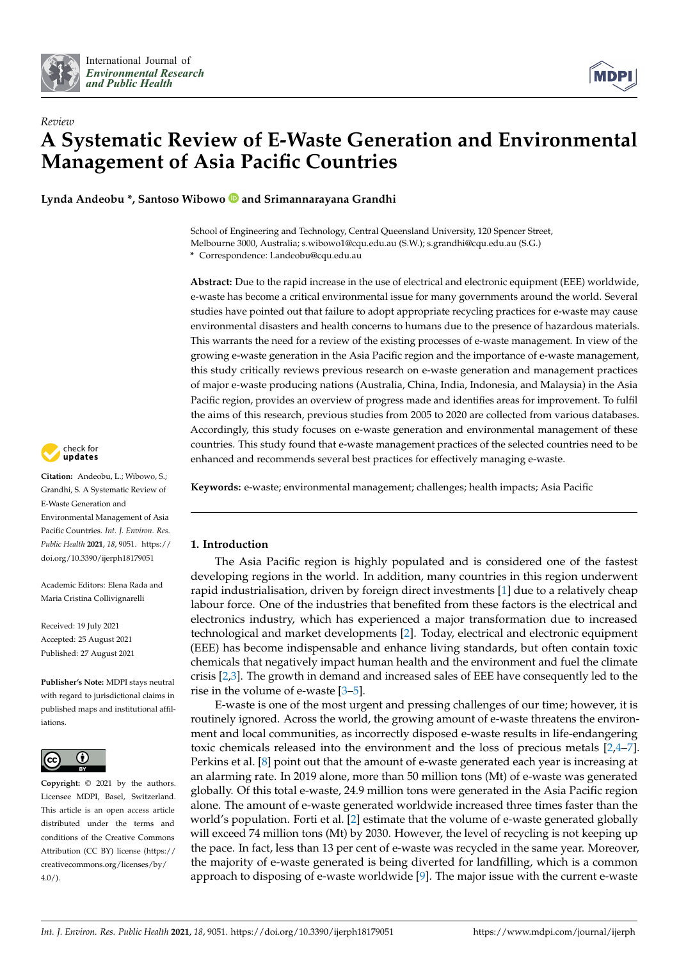



# *Review* **A Systematic Review of E-Waste Generation and Environmental Management of Asia Pacific Countries**

**Lynda Andeobu \*, Santoso Wibowo and Srimannarayana Grandhi**

School of Engineering and Technology, Central Queensland University, 120 Spencer Street, Melbourne 3000, Australia; s.wibowo1@cqu.edu.au (S.W.); s.grandhi@cqu.edu.au (S.G.) **\*** Correspondence: l.andeobu@cqu.edu.au

**Abstract:** Due to the rapid increase in the use of electrical and electronic equipment (EEE) worldwide, e-waste has become a critical environmental issue for many governments around the world. Several studies have pointed out that failure to adopt appropriate recycling practices for e-waste may cause environmental disasters and health concerns to humans due to the presence of hazardous materials. This warrants the need for a review of the existing processes of e-waste management. In view of the growing e-waste generation in the Asia Pacific region and the importance of e-waste management, this study critically reviews previous research on e-waste generation and management practices of major e-waste producing nations (Australia, China, India, Indonesia, and Malaysia) in the Asia Pacific region, provides an overview of progress made and identifies areas for improvement. To fulfil the aims of this research, previous studies from 2005 to 2020 are collected from various databases. Accordingly, this study focuses on e-waste generation and environmental management of these countries. This study found that e-waste management practices of the selected countries need to be enhanced and recommends several best practices for effectively managing e-waste.

**Keywords:** e-waste; environmental management; challenges; health impacts; Asia Pacific

# **1. Introduction**

The Asia Pacific region is highly populated and is considered one of the fastest developing regions in the world. In addition, many countries in this region underwent rapid industrialisation, driven by foreign direct investments [\[1\]](#page-12-0) due to a relatively cheap labour force. One of the industries that benefited from these factors is the electrical and electronics industry, which has experienced a major transformation due to increased technological and market developments [\[2\]](#page-12-1). Today, electrical and electronic equipment (EEE) has become indispensable and enhance living standards, but often contain toxic chemicals that negatively impact human health and the environment and fuel the climate crisis [\[2,](#page-12-1)[3\]](#page-12-2). The growth in demand and increased sales of EEE have consequently led to the rise in the volume of e-waste [\[3–](#page-12-2)[5\]](#page-12-3).

E-waste is one of the most urgent and pressing challenges of our time; however, it is routinely ignored. Across the world, the growing amount of e-waste threatens the environment and local communities, as incorrectly disposed e-waste results in life-endangering toxic chemicals released into the environment and the loss of precious metals [\[2,](#page-12-1)[4](#page-12-4)[–7\]](#page-12-5). Perkins et al. [\[8\]](#page-12-6) point out that the amount of e-waste generated each year is increasing at an alarming rate. In 2019 alone, more than 50 million tons (Mt) of e-waste was generated globally. Of this total e-waste, 24.9 million tons were generated in the Asia Pacific region alone. The amount of e-waste generated worldwide increased three times faster than the world's population. Forti et al. [\[2\]](#page-12-1) estimate that the volume of e-waste generated globally will exceed 74 million tons (Mt) by 2030. However, the level of recycling is not keeping up the pace. In fact, less than 13 per cent of e-waste was recycled in the same year. Moreover, the majority of e-waste generated is being diverted for landfilling, which is a common approach to disposing of e-waste worldwide [\[9\]](#page-12-7). The major issue with the current e-waste



**Citation:** Andeobu, L.; Wibowo, S.; Grandhi, S. A Systematic Review of E-Waste Generation and Environmental Management of Asia Pacific Countries. *Int. J. Environ. Res. Public Health* **2021**, *18*, 9051. [https://](https://doi.org/10.3390/ijerph18179051) [doi.org/10.3390/ijerph18179051](https://doi.org/10.3390/ijerph18179051)

Academic Editors: Elena Rada and Maria Cristina Collivignarelli

Received: 19 July 2021 Accepted: 25 August 2021 Published: 27 August 2021

**Publisher's Note:** MDPI stays neutral with regard to jurisdictional claims in published maps and institutional affiliations.



**Copyright:** © 2021 by the authors. Licensee MDPI, Basel, Switzerland. This article is an open access article distributed under the terms and conditions of the Creative Commons Attribution (CC BY) license (https:/[/](https://creativecommons.org/licenses/by/4.0/) [creativecommons.org/licenses/by/](https://creativecommons.org/licenses/by/4.0/)  $4.0/$ ).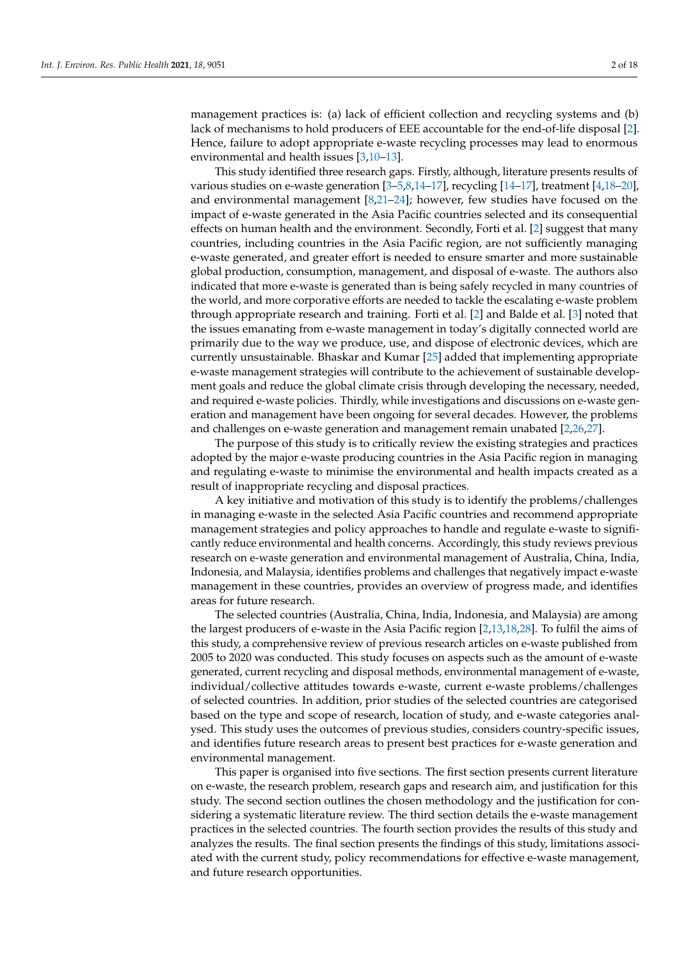management practices is: (a) lack of efficient collection and recycling systems and (b) lack of mechanisms to hold producers of EEE accountable for the end-of-life disposal [\[2\]](#page-12-1). Hence, failure to adopt appropriate e-waste recycling processes may lead to enormous environmental and health issues [\[3](#page-12-2)[,10](#page-12-8)[–13\]](#page-13-0).

This study identified three research gaps. Firstly, although, literature presents results of various studies on e-waste generation [\[3–](#page-12-2)[5](#page-12-3)[,8](#page-12-6)[,14](#page-13-1)[–17\]](#page-13-2), recycling [\[14–](#page-13-1)[17\]](#page-13-2), treatment [\[4,](#page-12-4)[18–](#page-13-3)[20\]](#page-13-4), and environmental management [\[8,](#page-12-6)[21](#page-13-5)[–24\]](#page-13-6); however, few studies have focused on the impact of e-waste generated in the Asia Pacific countries selected and its consequential effects on human health and the environment. Secondly, Forti et al. [\[2\]](#page-12-1) suggest that many countries, including countries in the Asia Pacific region, are not sufficiently managing e-waste generated, and greater effort is needed to ensure smarter and more sustainable global production, consumption, management, and disposal of e-waste. The authors also indicated that more e-waste is generated than is being safely recycled in many countries of the world, and more corporative efforts are needed to tackle the escalating e-waste problem through appropriate research and training. Forti et al. [\[2\]](#page-12-1) and Balde et al. [\[3\]](#page-12-2) noted that the issues emanating from e-waste management in today's digitally connected world are primarily due to the way we produce, use, and dispose of electronic devices, which are currently unsustainable. Bhaskar and Kumar [\[25\]](#page-13-7) added that implementing appropriate e-waste management strategies will contribute to the achievement of sustainable development goals and reduce the global climate crisis through developing the necessary, needed, and required e-waste policies. Thirdly, while investigations and discussions on e-waste generation and management have been ongoing for several decades. However, the problems and challenges on e-waste generation and management remain unabated [\[2,](#page-12-1)[26,](#page-13-8)[27\]](#page-13-9).

The purpose of this study is to critically review the existing strategies and practices adopted by the major e-waste producing countries in the Asia Pacific region in managing and regulating e-waste to minimise the environmental and health impacts created as a result of inappropriate recycling and disposal practices.

A key initiative and motivation of this study is to identify the problems/challenges in managing e-waste in the selected Asia Pacific countries and recommend appropriate management strategies and policy approaches to handle and regulate e-waste to significantly reduce environmental and health concerns. Accordingly, this study reviews previous research on e-waste generation and environmental management of Australia, China, India, Indonesia, and Malaysia, identifies problems and challenges that negatively impact e-waste management in these countries, provides an overview of progress made, and identifies areas for future research.

The selected countries (Australia, China, India, Indonesia, and Malaysia) are among the largest producers of e-waste in the Asia Pacific region [\[2](#page-12-1)[,13](#page-13-0)[,18](#page-13-3)[,28\]](#page-13-10). To fulfil the aims of this study, a comprehensive review of previous research articles on e-waste published from 2005 to 2020 was conducted. This study focuses on aspects such as the amount of e-waste generated, current recycling and disposal methods, environmental management of e-waste, individual/collective attitudes towards e-waste, current e-waste problems/challenges of selected countries. In addition, prior studies of the selected countries are categorised based on the type and scope of research, location of study, and e-waste categories analysed. This study uses the outcomes of previous studies, considers country-specific issues, and identifies future research areas to present best practices for e-waste generation and environmental management.

This paper is organised into five sections. The first section presents current literature on e-waste, the research problem, research gaps and research aim, and justification for this study. The second section outlines the chosen methodology and the justification for considering a systematic literature review. The third section details the e-waste management practices in the selected countries. The fourth section provides the results of this study and analyzes the results. The final section presents the findings of this study, limitations associated with the current study, policy recommendations for effective e-waste management, and future research opportunities.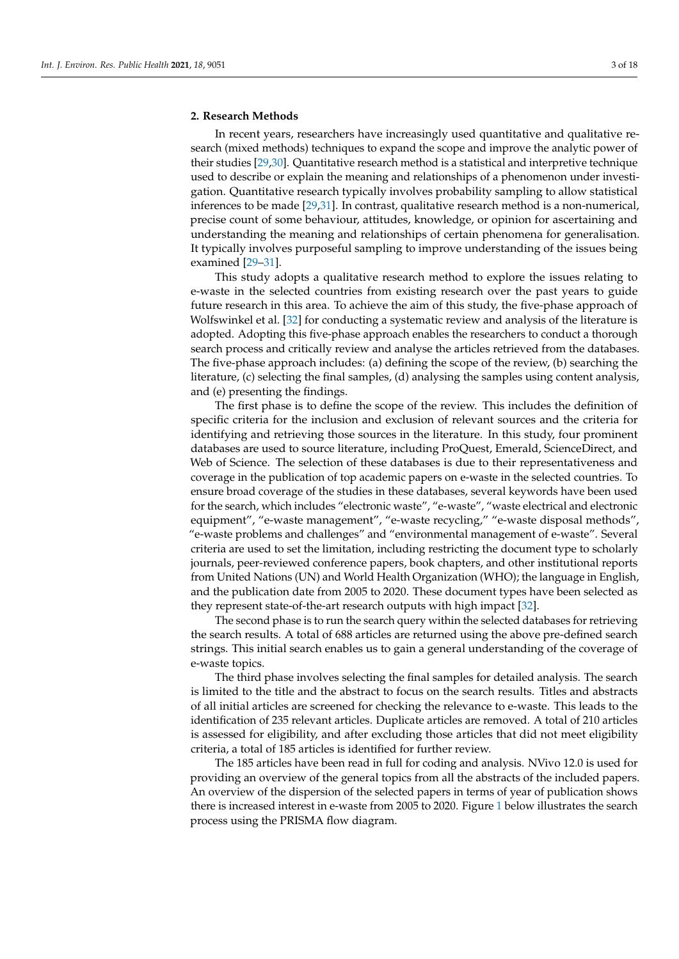## **2. Research Methods**

In recent years, researchers have increasingly used quantitative and qualitative research (mixed methods) techniques to expand the scope and improve the analytic power of their studies [\[29,](#page-13-11)[30\]](#page-13-12). Quantitative research method is a statistical and interpretive technique used to describe or explain the meaning and relationships of a phenomenon under investigation. Quantitative research typically involves probability sampling to allow statistical inferences to be made [\[29](#page-13-11)[,31\]](#page-13-13). In contrast, qualitative research method is a non-numerical, precise count of some behaviour, attitudes, knowledge, or opinion for ascertaining and understanding the meaning and relationships of certain phenomena for generalisation. It typically involves purposeful sampling to improve understanding of the issues being examined [\[29](#page-13-11)[–31\]](#page-13-13).

This study adopts a qualitative research method to explore the issues relating to e-waste in the selected countries from existing research over the past years to guide future research in this area. To achieve the aim of this study, the five-phase approach of Wolfswinkel et al. [\[32\]](#page-13-14) for conducting a systematic review and analysis of the literature is adopted. Adopting this five-phase approach enables the researchers to conduct a thorough search process and critically review and analyse the articles retrieved from the databases. The five-phase approach includes: (a) defining the scope of the review, (b) searching the literature, (c) selecting the final samples, (d) analysing the samples using content analysis, and (e) presenting the findings.

The first phase is to define the scope of the review. This includes the definition of specific criteria for the inclusion and exclusion of relevant sources and the criteria for identifying and retrieving those sources in the literature. In this study, four prominent databases are used to source literature, including ProQuest, Emerald, ScienceDirect, and Web of Science. The selection of these databases is due to their representativeness and coverage in the publication of top academic papers on e-waste in the selected countries. To ensure broad coverage of the studies in these databases, several keywords have been used for the search, which includes "electronic waste", "e-waste", "waste electrical and electronic equipment", "e-waste management", "e-waste recycling," "e-waste disposal methods", "e-waste problems and challenges" and "environmental management of e-waste". Several criteria are used to set the limitation, including restricting the document type to scholarly journals, peer-reviewed conference papers, book chapters, and other institutional reports from United Nations (UN) and World Health Organization (WHO); the language in English, and the publication date from 2005 to 2020. These document types have been selected as they represent state-of-the-art research outputs with high impact [\[32\]](#page-13-14).

The second phase is to run the search query within the selected databases for retrieving the search results. A total of 688 articles are returned using the above pre-defined search strings. This initial search enables us to gain a general understanding of the coverage of e-waste topics.

The third phase involves selecting the final samples for detailed analysis. The search is limited to the title and the abstract to focus on the search results. Titles and abstracts of all initial articles are screened for checking the relevance to e-waste. This leads to the identification of 235 relevant articles. Duplicate articles are removed. A total of 210 articles is assessed for eligibility, and after excluding those articles that did not meet eligibility criteria, a total of 185 articles is identified for further review.

The 185 articles have been read in full for coding and analysis. NVivo 12.0 is used for providing an overview of the general topics from all the abstracts of the included papers. An overview of the dispersion of the selected papers in terms of year of publication shows there is increased interest in e-waste from 2005 to 2020. Figure [1](#page-3-0) below illustrates the search process using the PRISMA flow diagram.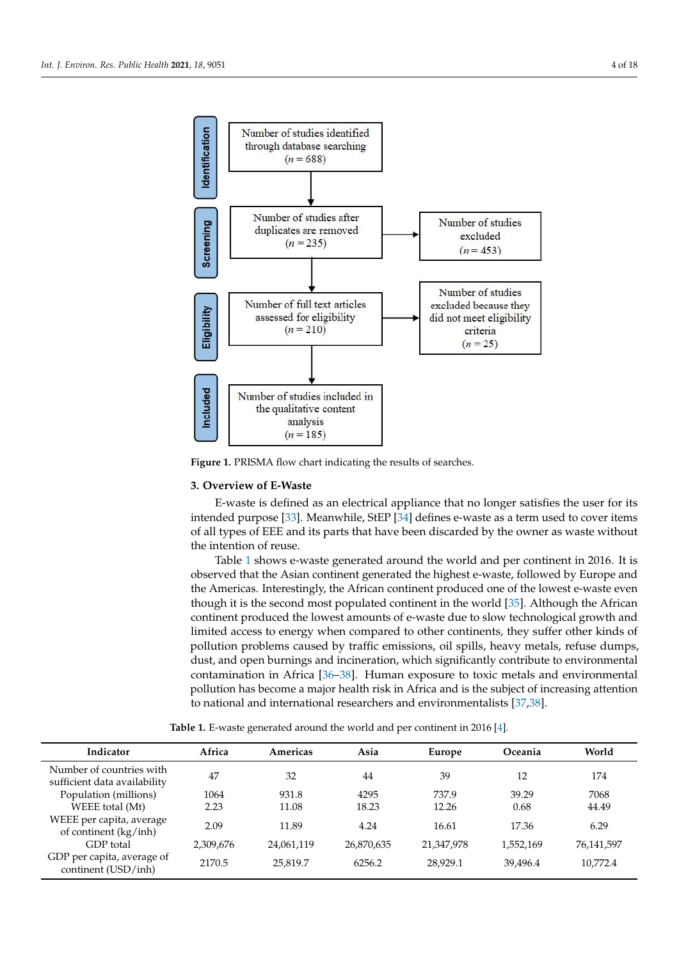<span id="page-3-0"></span>

**Figure 1.** PRISMA flow chart indicating the results of searches. **Figure 1.** PRISMA flow chart indicating the results of searches.

## **3. Overview of E-Waste**

E-waste is defined as an electrical appliance that no longer satisfies the user for its intended purpose [\[33\]](#page-13-15). Meanwhile, StEP [\[34\]](#page-13-16) defines e-waste as a term used to cover items of all types of EEE and its parts that have been discarded by the owner as waste without the intention of reuse.

Table 1 shows e-waste generated around the world and per continent in 2016. It is observed that the Asian continent generated the highest e-waste, followed by Europe and the Americas. Interestingly, the African continent produced one of the lowest e-waste even though it is the second most populated continent in the world [35]. Although the African continent produced the lowest amounts of e-waste due to slow technological growth and limited access to energy when compared to other continents, they suffer other kinds of pollution problems caused by traffic emissions, oil spills, heavy metals, refuse dumps, dust, and open burnings and incineration, which significantly contribute to environmental contamination in Africa [\[36–](#page-13-18)[38\]](#page-13-19). Human exposure to toxic metals and environmental pollution has become a major health risk in Africa and is the subject of increasing attention to national and international researchers and environmentalists [\[37,](#page-13-20)[38\]](#page-13-19).

Table 1. E-waste generated around the world and per continent in 2016 [\[4\]](#page-12-4).

<span id="page-3-1"></span>

| Indicator                                                | Africa    | Americas   | Asia       | Europe     | Oceania   | World      |
|----------------------------------------------------------|-----------|------------|------------|------------|-----------|------------|
| Number of countries with<br>sufficient data availability | 47        | 32         | 44         | 39         | 12        | 174        |
| Population (millions)                                    | 1064      | 931.8      | 4295       | 737.9      | 39.29     | 7068       |
| WEEE total (Mt)                                          | 2.23      | 11.08      | 18.23      | 12.26      | 0.68      | 44.49      |
| WEEE per capita, average<br>of continent (kg/inh)        | 2.09      | 11.89      | 4.24       | 16.61      | 17.36     | 6.29       |
| GDP total                                                | 2,309,676 | 24,061,119 | 26,870,635 | 21,347,978 | 1,552,169 | 76,141,597 |
| GDP per capita, average of<br>continent (USD/inh)        | 2170.5    | 25,819.7   | 6256.2     | 28,929.1   | 39.496.4  | 10.772.4   |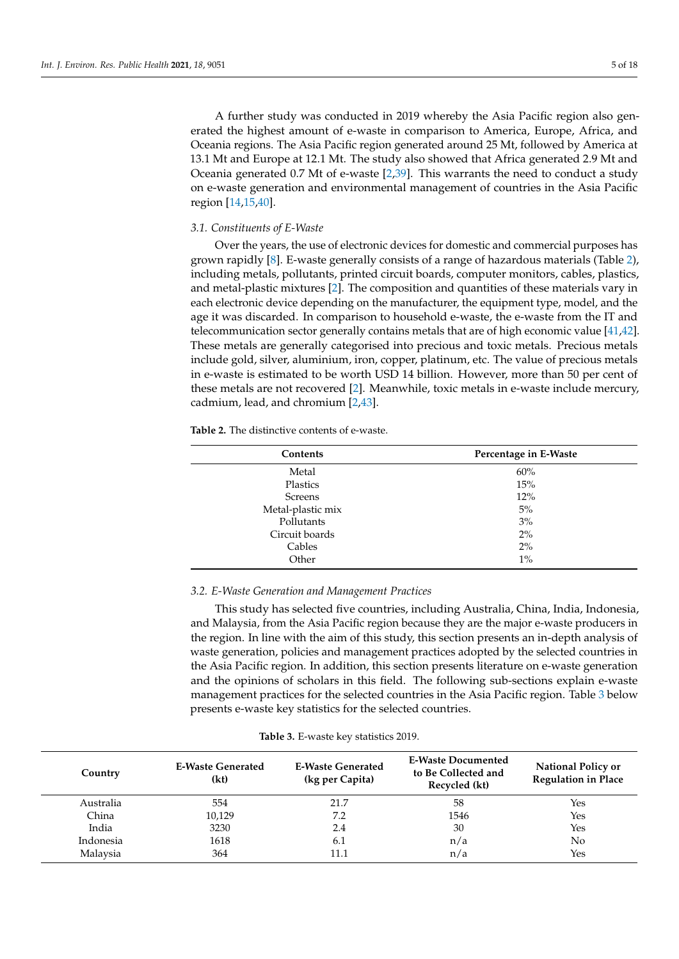A further study was conducted in 2019 whereby the Asia Pacific region also generated the highest amount of e-waste in comparison to America, Europe, Africa, and Oceania regions. The Asia Pacific region generated around 25 Mt, followed by America at 13.1 Mt and Europe at 12.1 Mt. The study also showed that Africa generated 2.9 Mt and Oceania generated 0.7 Mt of e-waste [\[2](#page-12-1)[,39\]](#page-13-21). This warrants the need to conduct a study on e-waste generation and environmental management of countries in the Asia Pacific region [\[14,](#page-13-1)[15,](#page-13-22)[40\]](#page-13-23).

#### *3.1. Constituents of E-Waste*

Over the years, the use of electronic devices for domestic and commercial purposes has grown rapidly [\[8\]](#page-12-6). E-waste generally consists of a range of hazardous materials (Table [2\)](#page-4-0), including metals, pollutants, printed circuit boards, computer monitors, cables, plastics, and metal-plastic mixtures [\[2\]](#page-12-1). The composition and quantities of these materials vary in each electronic device depending on the manufacturer, the equipment type, model, and the age it was discarded. In comparison to household e-waste, the e-waste from the IT and telecommunication sector generally contains metals that are of high economic value [\[41](#page-14-0)[,42\]](#page-14-1). These metals are generally categorised into precious and toxic metals. Precious metals include gold, silver, aluminium, iron, copper, platinum, etc. The value of precious metals in e-waste is estimated to be worth USD 14 billion. However, more than 50 per cent of these metals are not recovered [\[2\]](#page-12-1). Meanwhile, toxic metals in e-waste include mercury, cadmium, lead, and chromium [\[2,](#page-12-1)[43\]](#page-14-2).

<span id="page-4-0"></span>**Table 2.** The distinctive contents of e-waste.

| Contents          | Percentage in E-Waste |
|-------------------|-----------------------|
| Metal             | 60%                   |
| Plastics          | 15%                   |
| <b>Screens</b>    | 12%                   |
| Metal-plastic mix | 5%                    |
| Pollutants        | 3%                    |
| Circuit boards    | 2%                    |
| Cables            | 2%                    |
| Other             | $1\%$                 |

## *3.2. E-Waste Generation and Management Practices*

This study has selected five countries, including Australia, China, India, Indonesia, and Malaysia, from the Asia Pacific region because they are the major e-waste producers in the region. In line with the aim of this study, this section presents an in-depth analysis of waste generation, policies and management practices adopted by the selected countries in the Asia Pacific region. In addition, this section presents literature on e-waste generation and the opinions of scholars in this field. The following sub-sections explain e-waste management practices for the selected countries in the Asia Pacific region. Table [3](#page-4-1) below presents e-waste key statistics for the selected countries.

<span id="page-4-1"></span>

| Country   | <b>E-Waste Generated</b><br>(kt) | <b>E-Waste Generated</b><br>(kg per Capita) | <b>E-Waste Documented</b><br>to Be Collected and<br>Recycled (kt) | <b>National Policy or</b><br><b>Regulation in Place</b> |
|-----------|----------------------------------|---------------------------------------------|-------------------------------------------------------------------|---------------------------------------------------------|
| Australia | 554                              | 21.7                                        | 58                                                                | Yes                                                     |
| China     | 10.129                           | 7.2                                         | 1546                                                              | Yes                                                     |
| India     | 3230                             | 2.4                                         | 30                                                                | Yes                                                     |
| Indonesia | 1618                             | 6.1                                         | n/a                                                               | No                                                      |
| Malaysia  | 364                              | 11.1                                        | n/a                                                               | Yes                                                     |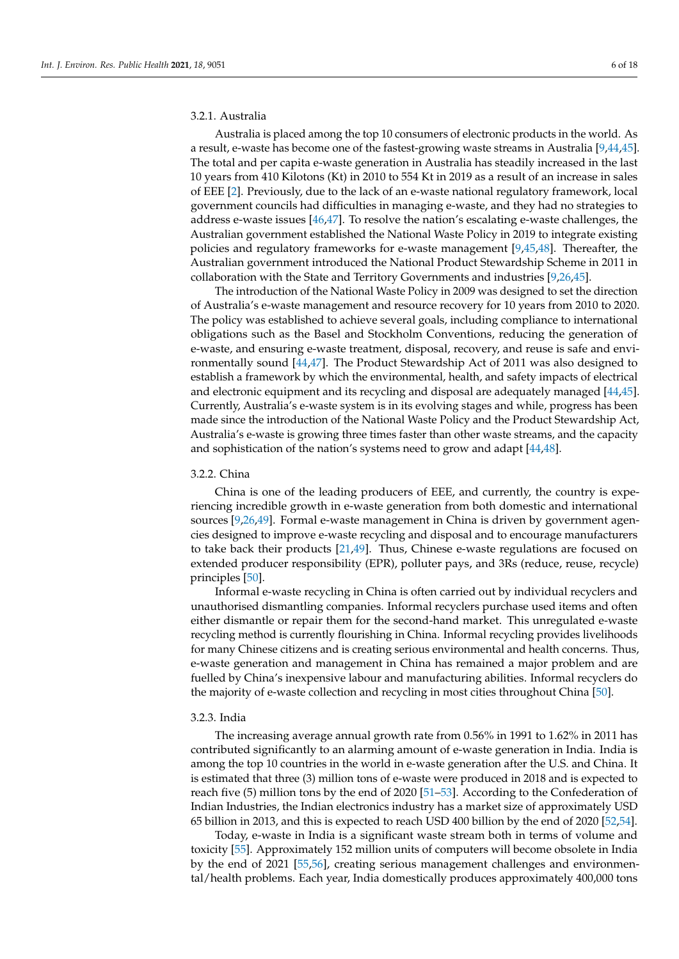# 3.2.1. Australia

Australia is placed among the top 10 consumers of electronic products in the world. As a result, e-waste has become one of the fastest-growing waste streams in Australia [\[9,](#page-12-7)[44](#page-14-3)[,45\]](#page-14-4). The total and per capita e-waste generation in Australia has steadily increased in the last 10 years from 410 Kilotons (Kt) in 2010 to 554 Kt in 2019 as a result of an increase in sales of EEE [\[2\]](#page-12-1). Previously, due to the lack of an e-waste national regulatory framework, local government councils had difficulties in managing e-waste, and they had no strategies to address e-waste issues [\[46,](#page-14-5)[47\]](#page-14-6). To resolve the nation's escalating e-waste challenges, the Australian government established the National Waste Policy in 2019 to integrate existing policies and regulatory frameworks for e-waste management [\[9,](#page-12-7)[45,](#page-14-4)[48\]](#page-14-7). Thereafter, the Australian government introduced the National Product Stewardship Scheme in 2011 in collaboration with the State and Territory Governments and industries [\[9,](#page-12-7)[26,](#page-13-8)[45\]](#page-14-4).

The introduction of the National Waste Policy in 2009 was designed to set the direction of Australia's e-waste management and resource recovery for 10 years from 2010 to 2020. The policy was established to achieve several goals, including compliance to international obligations such as the Basel and Stockholm Conventions, reducing the generation of e-waste, and ensuring e-waste treatment, disposal, recovery, and reuse is safe and environmentally sound [\[44,](#page-14-3)[47\]](#page-14-6). The Product Stewardship Act of 2011 was also designed to establish a framework by which the environmental, health, and safety impacts of electrical and electronic equipment and its recycling and disposal are adequately managed [\[44,](#page-14-3)[45\]](#page-14-4). Currently, Australia's e-waste system is in its evolving stages and while, progress has been made since the introduction of the National Waste Policy and the Product Stewardship Act, Australia's e-waste is growing three times faster than other waste streams, and the capacity and sophistication of the nation's systems need to grow and adapt [\[44](#page-14-3)[,48\]](#page-14-7).

#### 3.2.2. China

China is one of the leading producers of EEE, and currently, the country is experiencing incredible growth in e-waste generation from both domestic and international sources [\[9](#page-12-7)[,26](#page-13-8)[,49\]](#page-14-8). Formal e-waste management in China is driven by government agencies designed to improve e-waste recycling and disposal and to encourage manufacturers to take back their products [\[21,](#page-13-5)[49\]](#page-14-8). Thus, Chinese e-waste regulations are focused on extended producer responsibility (EPR), polluter pays, and 3Rs (reduce, reuse, recycle) principles [\[50\]](#page-14-9).

Informal e-waste recycling in China is often carried out by individual recyclers and unauthorised dismantling companies. Informal recyclers purchase used items and often either dismantle or repair them for the second-hand market. This unregulated e-waste recycling method is currently flourishing in China. Informal recycling provides livelihoods for many Chinese citizens and is creating serious environmental and health concerns. Thus, e-waste generation and management in China has remained a major problem and are fuelled by China's inexpensive labour and manufacturing abilities. Informal recyclers do the majority of e-waste collection and recycling in most cities throughout China [\[50\]](#page-14-9).

#### 3.2.3. India

The increasing average annual growth rate from 0.56% in 1991 to 1.62% in 2011 has contributed significantly to an alarming amount of e-waste generation in India. India is among the top 10 countries in the world in e-waste generation after the U.S. and China. It is estimated that three (3) million tons of e-waste were produced in 2018 and is expected to reach five (5) million tons by the end of 2020 [\[51–](#page-14-10)[53\]](#page-14-11). According to the Confederation of Indian Industries, the Indian electronics industry has a market size of approximately USD 65 billion in 2013, and this is expected to reach USD 400 billion by the end of 2020 [\[52](#page-14-12)[,54\]](#page-14-13).

Today, e-waste in India is a significant waste stream both in terms of volume and toxicity [\[55\]](#page-14-14). Approximately 152 million units of computers will become obsolete in India by the end of 2021 [\[55](#page-14-14)[,56\]](#page-14-15), creating serious management challenges and environmental/health problems. Each year, India domestically produces approximately 400,000 tons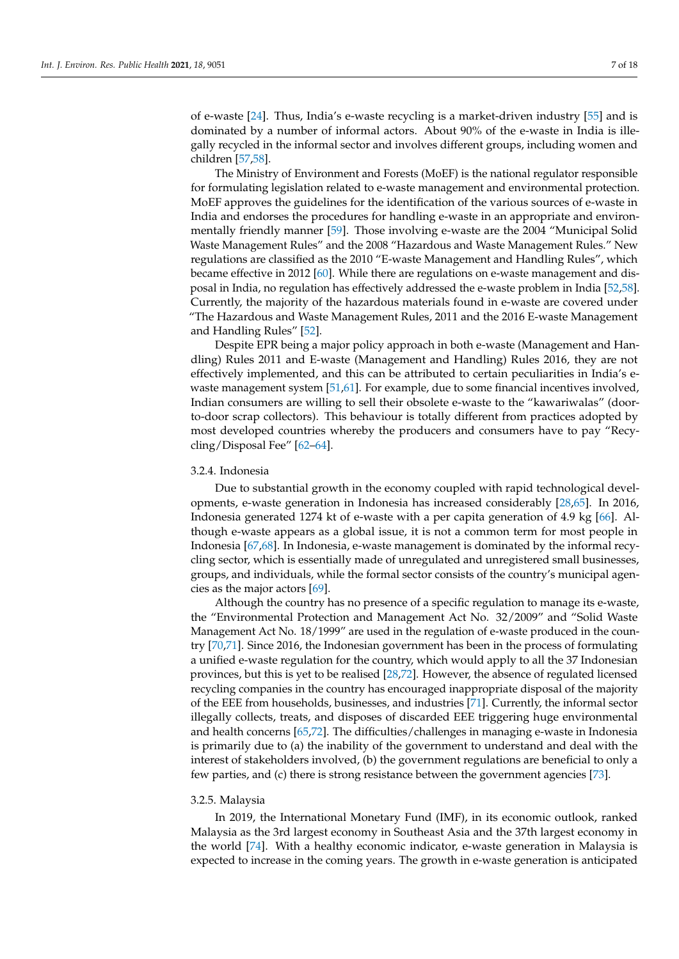of e-waste [\[24\]](#page-13-6). Thus, India's e-waste recycling is a market-driven industry [\[55\]](#page-14-14) and is dominated by a number of informal actors. About 90% of the e-waste in India is illegally recycled in the informal sector and involves different groups, including women and children [\[57](#page-14-16)[,58\]](#page-14-17).

The Ministry of Environment and Forests (MoEF) is the national regulator responsible for formulating legislation related to e-waste management and environmental protection. MoEF approves the guidelines for the identification of the various sources of e-waste in India and endorses the procedures for handling e-waste in an appropriate and environmentally friendly manner [\[59\]](#page-14-18). Those involving e-waste are the 2004 "Municipal Solid Waste Management Rules" and the 2008 "Hazardous and Waste Management Rules." New regulations are classified as the 2010 "E-waste Management and Handling Rules", which became effective in 2012 [\[60\]](#page-14-19). While there are regulations on e-waste management and disposal in India, no regulation has effectively addressed the e-waste problem in India [\[52](#page-14-12)[,58\]](#page-14-17). Currently, the majority of the hazardous materials found in e-waste are covered under "The Hazardous and Waste Management Rules, 2011 and the 2016 E-waste Management and Handling Rules" [\[52\]](#page-14-12).

Despite EPR being a major policy approach in both e-waste (Management and Handling) Rules 2011 and E-waste (Management and Handling) Rules 2016, they are not effectively implemented, and this can be attributed to certain peculiarities in India's e-waste management system [\[51](#page-14-10)[,61\]](#page-14-20). For example, due to some financial incentives involved, Indian consumers are willing to sell their obsolete e-waste to the "kawariwalas" (doorto-door scrap collectors). This behaviour is totally different from practices adopted by most developed countries whereby the producers and consumers have to pay "Recycling/Disposal Fee" [\[62–](#page-14-21)[64\]](#page-14-22).

#### 3.2.4. Indonesia

Due to substantial growth in the economy coupled with rapid technological developments, e-waste generation in Indonesia has increased considerably [\[28,](#page-13-10)[65\]](#page-14-23). In 2016, Indonesia generated 1274 kt of e-waste with a per capita generation of 4.9 kg [\[66\]](#page-14-24). Although e-waste appears as a global issue, it is not a common term for most people in Indonesia [\[67,](#page-14-25)[68\]](#page-14-26). In Indonesia, e-waste management is dominated by the informal recycling sector, which is essentially made of unregulated and unregistered small businesses, groups, and individuals, while the formal sector consists of the country's municipal agencies as the major actors [\[69\]](#page-14-27).

Although the country has no presence of a specific regulation to manage its e-waste, the "Environmental Protection and Management Act No. 32/2009" and "Solid Waste Management Act No. 18/1999" are used in the regulation of e-waste produced in the country [\[70,](#page-14-28)[71\]](#page-15-0). Since 2016, the Indonesian government has been in the process of formulating a unified e-waste regulation for the country, which would apply to all the 37 Indonesian provinces, but this is yet to be realised [\[28,](#page-13-10)[72\]](#page-15-1). However, the absence of regulated licensed recycling companies in the country has encouraged inappropriate disposal of the majority of the EEE from households, businesses, and industries [\[71\]](#page-15-0). Currently, the informal sector illegally collects, treats, and disposes of discarded EEE triggering huge environmental and health concerns [\[65,](#page-14-23)[72\]](#page-15-1). The difficulties/challenges in managing e-waste in Indonesia is primarily due to (a) the inability of the government to understand and deal with the interest of stakeholders involved, (b) the government regulations are beneficial to only a few parties, and (c) there is strong resistance between the government agencies [\[73\]](#page-15-2).

#### 3.2.5. Malaysia

In 2019, the International Monetary Fund (IMF), in its economic outlook, ranked Malaysia as the 3rd largest economy in Southeast Asia and the 37th largest economy in the world [\[74\]](#page-15-3). With a healthy economic indicator, e-waste generation in Malaysia is expected to increase in the coming years. The growth in e-waste generation is anticipated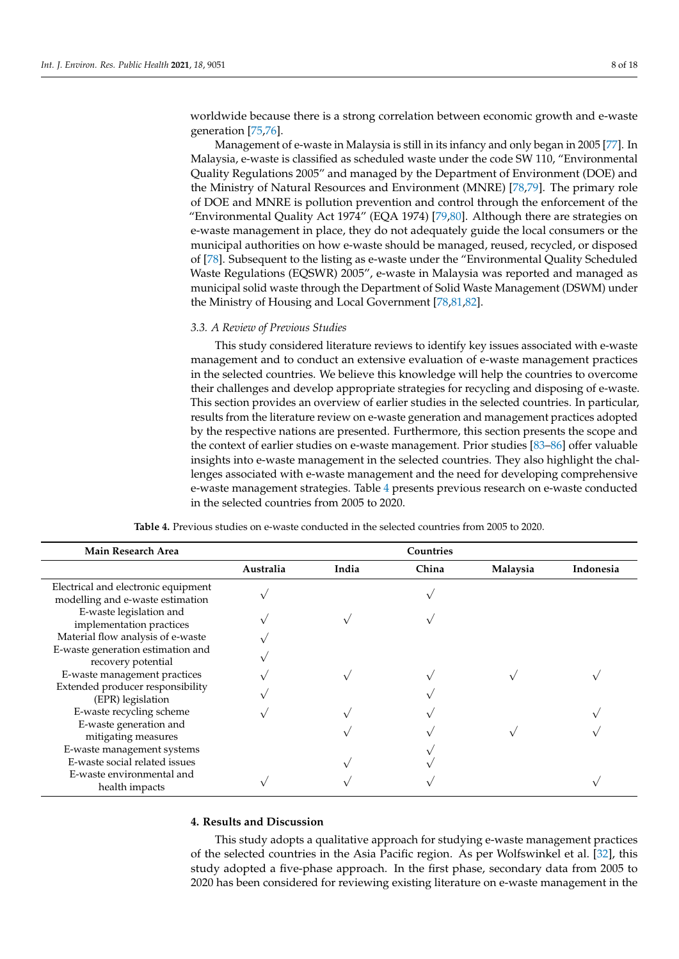worldwide because there is a strong correlation between economic growth and e-waste generation [\[75,](#page-15-4)[76\]](#page-15-5).

Management of e-waste in Malaysia is still in its infancy and only began in 2005 [\[77\]](#page-15-6). In Malaysia, e-waste is classified as scheduled waste under the code SW 110, "Environmental Quality Regulations 2005" and managed by the Department of Environment (DOE) and the Ministry of Natural Resources and Environment (MNRE) [\[78](#page-15-7)[,79\]](#page-15-8). The primary role of DOE and MNRE is pollution prevention and control through the enforcement of the "Environmental Quality Act 1974" (EQA 1974) [\[79,](#page-15-8)[80\]](#page-15-9). Although there are strategies on e-waste management in place, they do not adequately guide the local consumers or the municipal authorities on how e-waste should be managed, reused, recycled, or disposed of [\[78\]](#page-15-7). Subsequent to the listing as e-waste under the "Environmental Quality Scheduled Waste Regulations (EQSWR) 2005", e-waste in Malaysia was reported and managed as municipal solid waste through the Department of Solid Waste Management (DSWM) under the Ministry of Housing and Local Government [\[78,](#page-15-7)[81,](#page-15-10)[82\]](#page-15-11).

#### *3.3. A Review of Previous Studies*

This study considered literature reviews to identify key issues associated with e-waste management and to conduct an extensive evaluation of e-waste management practices in the selected countries. We believe this knowledge will help the countries to overcome their challenges and develop appropriate strategies for recycling and disposing of e-waste. This section provides an overview of earlier studies in the selected countries. In particular, results from the literature review on e-waste generation and management practices adopted by the respective nations are presented. Furthermore, this section presents the scope and the context of earlier studies on e-waste management. Prior studies [\[83–](#page-15-12)[86\]](#page-15-13) offer valuable insights into e-waste management in the selected countries. They also highlight the challenges associated with e-waste management and the need for developing comprehensive e-waste management strategies. Table [4](#page-7-0) presents previous research on e-waste conducted in the selected countries from 2005 to 2020.

<span id="page-7-0"></span>

| <b>Main Research Area</b>                                               |           |       | Countries |          |           |
|-------------------------------------------------------------------------|-----------|-------|-----------|----------|-----------|
|                                                                         | Australia | India | China     | Malaysia | Indonesia |
| Electrical and electronic equipment<br>modelling and e-waste estimation |           |       |           |          |           |
| E-waste legislation and<br>implementation practices                     |           |       |           |          |           |
| Material flow analysis of e-waste<br>E-waste generation estimation and  |           |       |           |          |           |
| recovery potential                                                      |           |       |           |          |           |
| E-waste management practices                                            |           |       |           |          |           |
| Extended producer responsibility<br>(EPR) legislation                   |           |       |           |          |           |
| E-waste recycling scheme                                                |           |       |           |          |           |
| E-waste generation and<br>mitigating measures                           |           |       |           |          |           |
| E-waste management systems                                              |           |       |           |          |           |
| E-waste social related issues                                           |           |       |           |          |           |
| E-waste environmental and<br>health impacts                             |           |       |           |          |           |

**Table 4.** Previous studies on e-waste conducted in the selected countries from 2005 to 2020.

#### **4. Results and Discussion**

This study adopts a qualitative approach for studying e-waste management practices of the selected countries in the Asia Pacific region. As per Wolfswinkel et al. [\[32\]](#page-13-14), this study adopted a five-phase approach. In the first phase, secondary data from 2005 to 2020 has been considered for reviewing existing literature on e-waste management in the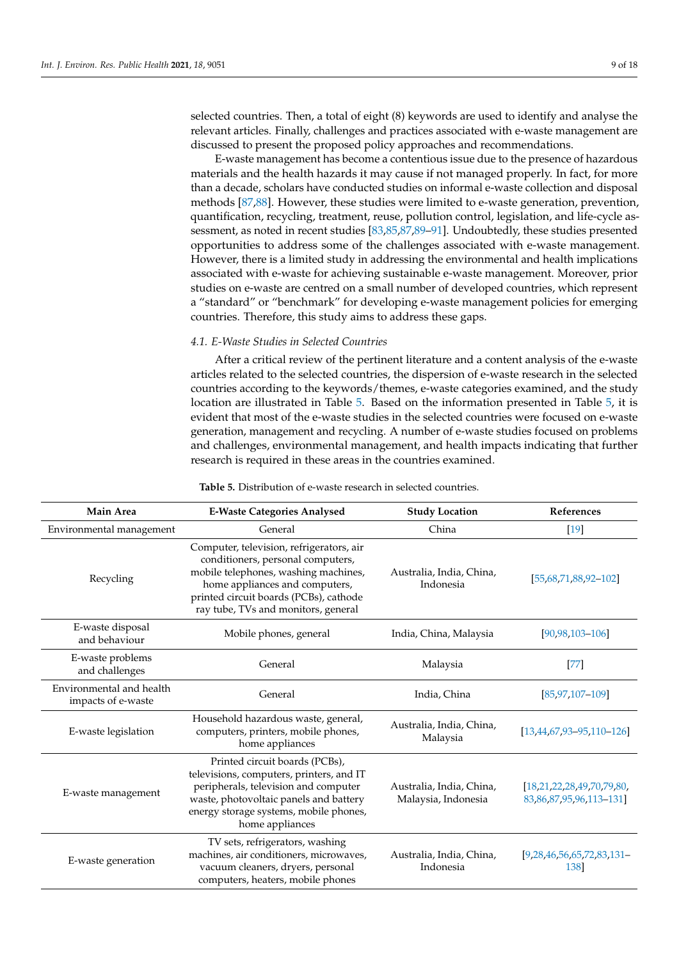selected countries. Then, a total of eight (8) keywords are used to identify and analyse the relevant articles. Finally, challenges and practices associated with e-waste management are discussed to present the proposed policy approaches and recommendations.

E-waste management has become a contentious issue due to the presence of hazardous materials and the health hazards it may cause if not managed properly. In fact, for more than a decade, scholars have conducted studies on informal e-waste collection and disposal methods [\[87,](#page-15-14)[88\]](#page-15-15). However, these studies were limited to e-waste generation, prevention, quantification, recycling, treatment, reuse, pollution control, legislation, and life-cycle assessment, as noted in recent studies [\[83,](#page-15-12)[85,](#page-15-16)[87](#page-15-14)[,89](#page-15-17)[–91\]](#page-15-18). Undoubtedly, these studies presented opportunities to address some of the challenges associated with e-waste management. However, there is a limited study in addressing the environmental and health implications associated with e-waste for achieving sustainable e-waste management. Moreover, prior studies on e-waste are centred on a small number of developed countries, which represent a "standard" or "benchmark" for developing e-waste management policies for emerging countries. Therefore, this study aims to address these gaps.

# *4.1. E-Waste Studies in Selected Countries*

After a critical review of the pertinent literature and a content analysis of the e-waste articles related to the selected countries, the dispersion of e-waste research in the selected countries according to the keywords/themes, e-waste categories examined, and the study location are illustrated in Table [5.](#page-8-0) Based on the information presented in Table [5,](#page-8-0) it is evident that most of the e-waste studies in the selected countries were focused on e-waste generation, management and recycling. A number of e-waste studies focused on problems and challenges, environmental management, and health impacts indicating that further research is required in these areas in the countries examined.

| <b>Table 5.</b> Distribution of e-waste research in selected countries. |  |  |  |
|-------------------------------------------------------------------------|--|--|--|
|-------------------------------------------------------------------------|--|--|--|

<span id="page-8-0"></span>

| <b>Main Area</b>                               | <b>E-Waste Categories Analysed</b>                                                                                                                                                                                                       | <b>Study Location</b>                           | References                                                         |
|------------------------------------------------|------------------------------------------------------------------------------------------------------------------------------------------------------------------------------------------------------------------------------------------|-------------------------------------------------|--------------------------------------------------------------------|
| Environmental management                       | General                                                                                                                                                                                                                                  | China                                           | $[19]$                                                             |
| Recycling                                      | Computer, television, refrigerators, air<br>conditioners, personal computers,<br>mobile telephones, washing machines,<br>home appliances and computers,<br>printed circuit boards (PCBs), cathode<br>ray tube, TVs and monitors, general | Australia, India, China,<br>Indonesia           | $[55,68,71,88,92-102]$                                             |
| E-waste disposal<br>and behaviour              | Mobile phones, general                                                                                                                                                                                                                   | India, China, Malaysia                          | $[90, 98, 103 - 106]$                                              |
| E-waste problems<br>and challenges             | General                                                                                                                                                                                                                                  | Malaysia                                        | $[77]$                                                             |
| Environmental and health<br>impacts of e-waste | General                                                                                                                                                                                                                                  | India, China                                    | [85,97,107-109]                                                    |
| E-waste legislation                            | Household hazardous waste, general,<br>computers, printers, mobile phones,<br>home appliances                                                                                                                                            | Australia, India, China,<br>Malaysia            | $[13,44,67,93-95,110-126]$                                         |
| E-waste management                             | Printed circuit boards (PCBs),<br>televisions, computers, printers, and IT<br>peripherals, television and computer<br>waste, photovoltaic panels and battery<br>energy storage systems, mobile phones,<br>home appliances                | Australia, India, China,<br>Malaysia, Indonesia | [18, 21, 22, 28, 49, 70, 79, 80,<br>83, 86, 87, 95, 96, 113 - 131] |
| E-waste generation                             | TV sets, refrigerators, washing<br>machines, air conditioners, microwaves,<br>vacuum cleaners, dryers, personal<br>computers, heaters, mobile phones                                                                                     | Australia, India, China,<br>Indonesia           | $[9,28,46,56,65,72,83,131-$<br>138]                                |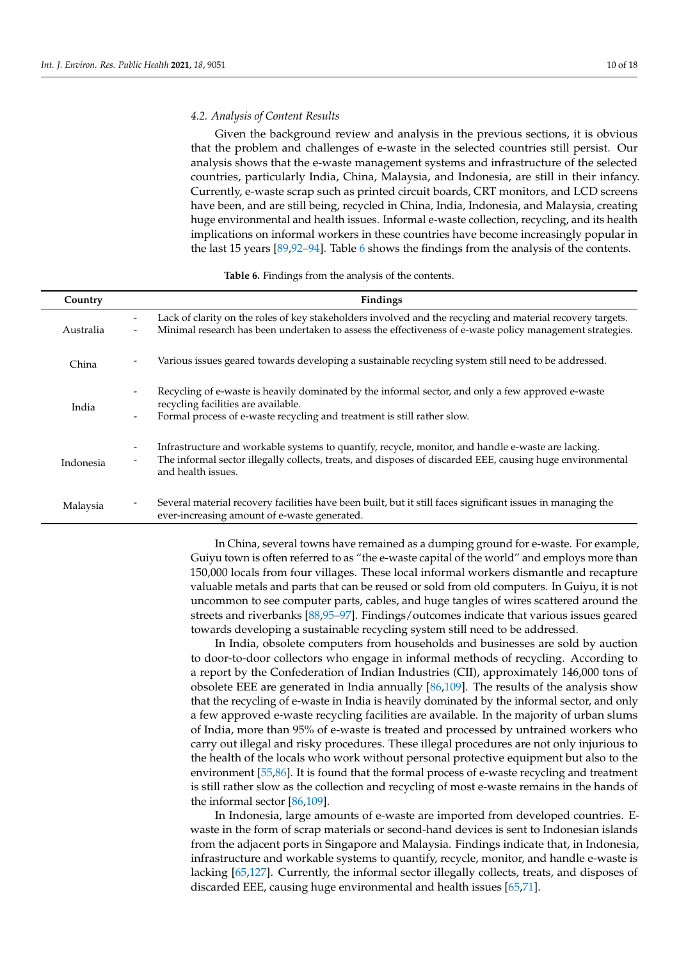## *4.2. Analysis of Content Results*

Given the background review and analysis in the previous sections, it is obvious that the problem and challenges of e-waste in the selected countries still persist. Our analysis shows that the e-waste management systems and infrastructure of the selected countries, particularly India, China, Malaysia, and Indonesia, are still in their infancy. Currently, e-waste scrap such as printed circuit boards, CRT monitors, and LCD screens have been, and are still being, recycled in China, India, Indonesia, and Malaysia, creating huge environmental and health issues. Informal e-waste collection, recycling, and its health implications on informal workers in these countries have become increasingly popular in the last 15 years [\[89,](#page-15-17)[92–](#page-15-19)[94\]](#page-15-26). Table [6](#page-9-0) shows the findings from the analysis of the contents.

| Table 6. Findings from the analysis of the contents. |  |  |  |  |  |  |  |  |  |  |
|------------------------------------------------------|--|--|--|--|--|--|--|--|--|--|
|------------------------------------------------------|--|--|--|--|--|--|--|--|--|--|

<span id="page-9-0"></span>

| Country   | Findings                                                                                                                                                                                                                                                                                      |
|-----------|-----------------------------------------------------------------------------------------------------------------------------------------------------------------------------------------------------------------------------------------------------------------------------------------------|
| Australia | Lack of clarity on the roles of key stakeholders involved and the recycling and material recovery targets.<br>Minimal research has been undertaken to assess the effectiveness of e-waste policy management strategies.<br>$\overline{\phantom{a}}$                                           |
| China     | Various issues geared towards developing a sustainable recycling system still need to be addressed.                                                                                                                                                                                           |
| India     | Recycling of e-waste is heavily dominated by the informal sector, and only a few approved e-waste<br>$\overline{\phantom{a}}$<br>recycling facilities are available.<br>Formal process of e-waste recycling and treatment is still rather slow.<br>$\overline{\phantom{a}}$                   |
| Indonesia | Infrastructure and workable systems to quantify, recycle, monitor, and handle e-waste are lacking.<br>$\overline{\phantom{a}}$<br>The informal sector illegally collects, treats, and disposes of discarded EEE, causing huge environmental<br>$\overline{\phantom{a}}$<br>and health issues. |
| Malaysia  | Several material recovery facilities have been built, but it still faces significant issues in managing the<br>ever-increasing amount of e-waste generated.                                                                                                                                   |

In China, several towns have remained as a dumping ground for e-waste. For example, Guiyu town is often referred to as "the e-waste capital of the world" and employs more than 150,000 locals from four villages. These local informal workers dismantle and recapture valuable metals and parts that can be reused or sold from old computers. In Guiyu, it is not uncommon to see computer parts, cables, and huge tangles of wires scattered around the streets and riverbanks [\[88,](#page-15-15)[95](#page-15-24)[–97\]](#page-15-22). Findings/outcomes indicate that various issues geared towards developing a sustainable recycling system still need to be addressed.

In India, obsolete computers from households and businesses are sold by auction to door-to-door collectors who engage in informal methods of recycling. According to a report by the Confederation of Indian Industries (CII), approximately 146,000 tons of obsolete EEE are generated in India annually [\[86](#page-15-13)[,109\]](#page-16-4). The results of the analysis show that the recycling of e-waste in India is heavily dominated by the informal sector, and only a few approved e-waste recycling facilities are available. In the majority of urban slums of India, more than 95% of e-waste is treated and processed by untrained workers who carry out illegal and risky procedures. These illegal procedures are not only injurious to the health of the locals who work without personal protective equipment but also to the environment [\[55](#page-14-14)[,86\]](#page-15-13). It is found that the formal process of e-waste recycling and treatment is still rather slow as the collection and recycling of most e-waste remains in the hands of the informal sector [\[86](#page-15-13)[,109\]](#page-16-4).

In Indonesia, large amounts of e-waste are imported from developed countries. Ewaste in the form of scrap materials or second-hand devices is sent to Indonesian islands from the adjacent ports in Singapore and Malaysia. Findings indicate that, in Indonesia, infrastructure and workable systems to quantify, recycle, monitor, and handle e-waste is lacking [\[65](#page-14-23)[,127\]](#page-16-8). Currently, the informal sector illegally collects, treats, and disposes of discarded EEE, causing huge environmental and health issues [\[65](#page-14-23)[,71\]](#page-15-0).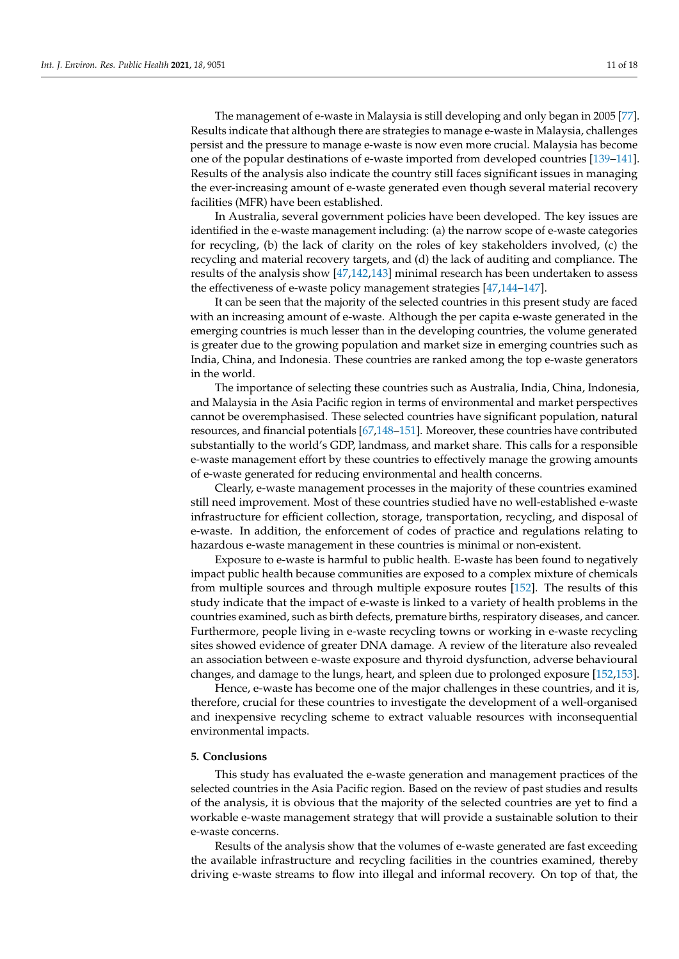The management of e-waste in Malaysia is still developing and only began in 2005 [\[77\]](#page-15-6). Results indicate that although there are strategies to manage e-waste in Malaysia, challenges persist and the pressure to manage e-waste is now even more crucial. Malaysia has become one of the popular destinations of e-waste imported from developed countries [\[139](#page-17-2)[–141\]](#page-17-3). Results of the analysis also indicate the country still faces significant issues in managing the ever-increasing amount of e-waste generated even though several material recovery facilities (MFR) have been established.

In Australia, several government policies have been developed. The key issues are identified in the e-waste management including: (a) the narrow scope of e-waste categories for recycling, (b) the lack of clarity on the roles of key stakeholders involved, (c) the recycling and material recovery targets, and (d) the lack of auditing and compliance. The results of the analysis show [\[47](#page-14-6)[,142](#page-17-4)[,143\]](#page-17-5) minimal research has been undertaken to assess the effectiveness of e-waste policy management strategies [\[47,](#page-14-6)[144](#page-17-6)[–147\]](#page-17-7).

It can be seen that the majority of the selected countries in this present study are faced with an increasing amount of e-waste. Although the per capita e-waste generated in the emerging countries is much lesser than in the developing countries, the volume generated is greater due to the growing population and market size in emerging countries such as India, China, and Indonesia. These countries are ranked among the top e-waste generators in the world.

The importance of selecting these countries such as Australia, India, China, Indonesia, and Malaysia in the Asia Pacific region in terms of environmental and market perspectives cannot be overemphasised. These selected countries have significant population, natural resources, and financial potentials [\[67](#page-14-25)[,148](#page-17-8)[–151\]](#page-17-9). Moreover, these countries have contributed substantially to the world's GDP, landmass, and market share. This calls for a responsible e-waste management effort by these countries to effectively manage the growing amounts of e-waste generated for reducing environmental and health concerns.

Clearly, e-waste management processes in the majority of these countries examined still need improvement. Most of these countries studied have no well-established e-waste infrastructure for efficient collection, storage, transportation, recycling, and disposal of e-waste. In addition, the enforcement of codes of practice and regulations relating to hazardous e-waste management in these countries is minimal or non-existent.

Exposure to e-waste is harmful to public health. E-waste has been found to negatively impact public health because communities are exposed to a complex mixture of chemicals from multiple sources and through multiple exposure routes [\[152\]](#page-17-10). The results of this study indicate that the impact of e-waste is linked to a variety of health problems in the countries examined, such as birth defects, premature births, respiratory diseases, and cancer. Furthermore, people living in e-waste recycling towns or working in e-waste recycling sites showed evidence of greater DNA damage. A review of the literature also revealed an association between e-waste exposure and thyroid dysfunction, adverse behavioural changes, and damage to the lungs, heart, and spleen due to prolonged exposure [\[152,](#page-17-10)[153\]](#page-17-11).

Hence, e-waste has become one of the major challenges in these countries, and it is, therefore, crucial for these countries to investigate the development of a well-organised and inexpensive recycling scheme to extract valuable resources with inconsequential environmental impacts.

#### **5. Conclusions**

This study has evaluated the e-waste generation and management practices of the selected countries in the Asia Pacific region. Based on the review of past studies and results of the analysis, it is obvious that the majority of the selected countries are yet to find a workable e-waste management strategy that will provide a sustainable solution to their e-waste concerns.

Results of the analysis show that the volumes of e-waste generated are fast exceeding the available infrastructure and recycling facilities in the countries examined, thereby driving e-waste streams to flow into illegal and informal recovery. On top of that, the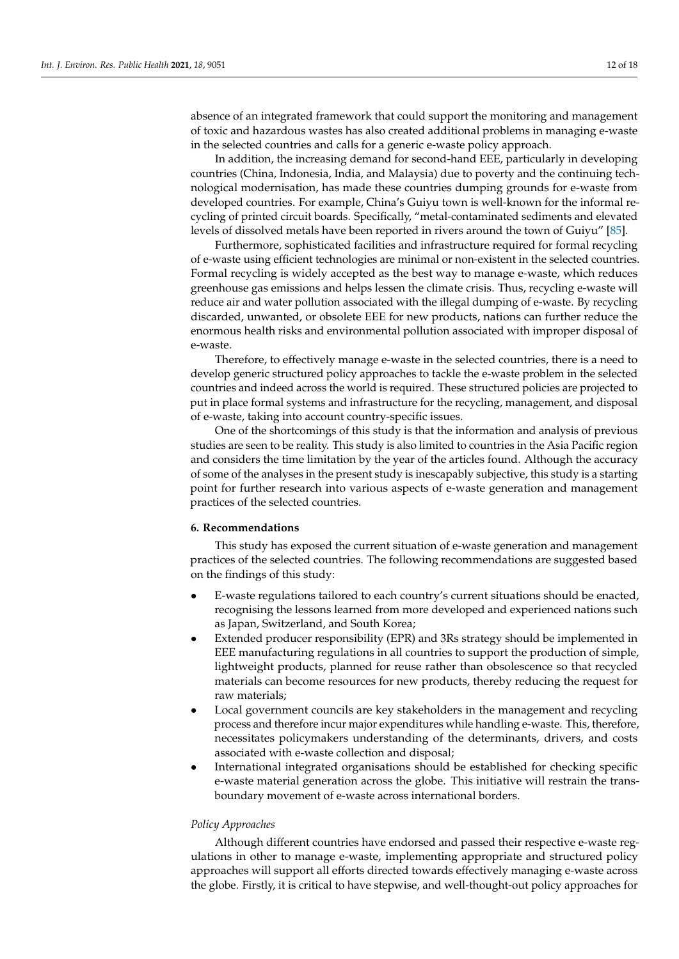absence of an integrated framework that could support the monitoring and management of toxic and hazardous wastes has also created additional problems in managing e-waste in the selected countries and calls for a generic e-waste policy approach.

In addition, the increasing demand for second-hand EEE, particularly in developing countries (China, Indonesia, India, and Malaysia) due to poverty and the continuing technological modernisation, has made these countries dumping grounds for e-waste from developed countries. For example, China's Guiyu town is well-known for the informal recycling of printed circuit boards. Specifically, "metal-contaminated sediments and elevated levels of dissolved metals have been reported in rivers around the town of Guiyu" [\[85\]](#page-15-16).

Furthermore, sophisticated facilities and infrastructure required for formal recycling of e-waste using efficient technologies are minimal or non-existent in the selected countries. Formal recycling is widely accepted as the best way to manage e-waste, which reduces greenhouse gas emissions and helps lessen the climate crisis. Thus, recycling e-waste will reduce air and water pollution associated with the illegal dumping of e-waste. By recycling discarded, unwanted, or obsolete EEE for new products, nations can further reduce the enormous health risks and environmental pollution associated with improper disposal of e-waste.

Therefore, to effectively manage e-waste in the selected countries, there is a need to develop generic structured policy approaches to tackle the e-waste problem in the selected countries and indeed across the world is required. These structured policies are projected to put in place formal systems and infrastructure for the recycling, management, and disposal of e-waste, taking into account country-specific issues.

One of the shortcomings of this study is that the information and analysis of previous studies are seen to be reality. This study is also limited to countries in the Asia Pacific region and considers the time limitation by the year of the articles found. Although the accuracy of some of the analyses in the present study is inescapably subjective, this study is a starting point for further research into various aspects of e-waste generation and management practices of the selected countries.

## **6. Recommendations**

This study has exposed the current situation of e-waste generation and management practices of the selected countries. The following recommendations are suggested based on the findings of this study:

- E-waste regulations tailored to each country's current situations should be enacted, recognising the lessons learned from more developed and experienced nations such as Japan, Switzerland, and South Korea;
- Extended producer responsibility (EPR) and 3Rs strategy should be implemented in EEE manufacturing regulations in all countries to support the production of simple, lightweight products, planned for reuse rather than obsolescence so that recycled materials can become resources for new products, thereby reducing the request for raw materials;
- Local government councils are key stakeholders in the management and recycling process and therefore incur major expenditures while handling e-waste. This, therefore, necessitates policymakers understanding of the determinants, drivers, and costs associated with e-waste collection and disposal;
- International integrated organisations should be established for checking specific e-waste material generation across the globe. This initiative will restrain the transboundary movement of e-waste across international borders.

#### *Policy Approaches*

Although different countries have endorsed and passed their respective e-waste regulations in other to manage e-waste, implementing appropriate and structured policy approaches will support all efforts directed towards effectively managing e-waste across the globe. Firstly, it is critical to have stepwise, and well-thought-out policy approaches for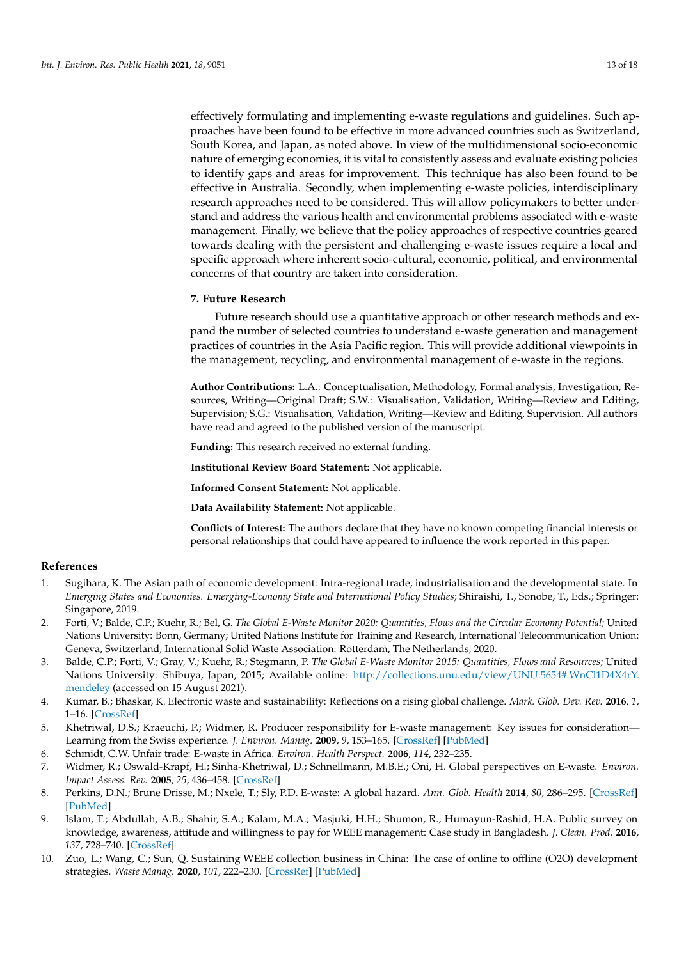effectively formulating and implementing e-waste regulations and guidelines. Such approaches have been found to be effective in more advanced countries such as Switzerland, South Korea, and Japan, as noted above. In view of the multidimensional socio-economic nature of emerging economies, it is vital to consistently assess and evaluate existing policies to identify gaps and areas for improvement. This technique has also been found to be effective in Australia. Secondly, when implementing e-waste policies, interdisciplinary research approaches need to be considered. This will allow policymakers to better understand and address the various health and environmental problems associated with e-waste management. Finally, we believe that the policy approaches of respective countries geared towards dealing with the persistent and challenging e-waste issues require a local and specific approach where inherent socio-cultural, economic, political, and environmental concerns of that country are taken into consideration.

#### **7. Future Research**

Future research should use a quantitative approach or other research methods and expand the number of selected countries to understand e-waste generation and management practices of countries in the Asia Pacific region. This will provide additional viewpoints in the management, recycling, and environmental management of e-waste in the regions.

**Author Contributions:** L.A.: Conceptualisation, Methodology, Formal analysis, Investigation, Resources, Writing—Original Draft; S.W.: Visualisation, Validation, Writing—Review and Editing, Supervision; S.G.: Visualisation, Validation, Writing—Review and Editing, Supervision. All authors have read and agreed to the published version of the manuscript.

**Funding:** This research received no external funding.

**Institutional Review Board Statement:** Not applicable.

**Informed Consent Statement:** Not applicable.

**Data Availability Statement:** Not applicable.

**Conflicts of Interest:** The authors declare that they have no known competing financial interests or personal relationships that could have appeared to influence the work reported in this paper.

# **References**

- <span id="page-12-0"></span>1. Sugihara, K. The Asian path of economic development: Intra-regional trade, industrialisation and the developmental state. In *Emerging States and Economies. Emerging-Economy State and International Policy Studies*; Shiraishi, T., Sonobe, T., Eds.; Springer: Singapore, 2019.
- <span id="page-12-1"></span>2. Forti, V.; Balde, C.P.; Kuehr, R.; Bel, G. *The Global E-Waste Monitor 2020: Quantities, Flows and the Circular Economy Potential*; United Nations University: Bonn, Germany; United Nations Institute for Training and Research, International Telecommunication Union: Geneva, Switzerland; International Solid Waste Association: Rotterdam, The Netherlands, 2020.
- <span id="page-12-2"></span>3. Balde, C.P.; Forti, V.; Gray, V.; Kuehr, R.; Stegmann, P. *The Global E-Waste Monitor 2015: Quantities, Flows and Resources*; United Nations University: Shibuya, Japan, 2015; Available online: [http://collections.unu.edu/view/UNU:5654#.WnCl1D4X4rY.](http://collections.unu.edu/view/UNU:5654#.WnCl1D4X4rY.mendeley) [mendeley](http://collections.unu.edu/view/UNU:5654#.WnCl1D4X4rY.mendeley) (accessed on 15 August 2021).
- <span id="page-12-4"></span>4. Kumar, B.; Bhaskar, K. Electronic waste and sustainability: Reflections on a rising global challenge. *Mark. Glob. Dev. Rev.* **2016**, *1*, 1–16. [\[CrossRef\]](http://doi.org/10.23860/MGDR-2016-01-01-05)
- <span id="page-12-3"></span>5. Khetriwal, D.S.; Kraeuchi, P.; Widmer, R. Producer responsibility for E-waste management: Key issues for consideration— Learning from the Swiss experience. *J. Environ. Manag.* **2009**, *9*, 153–165. [\[CrossRef\]](http://doi.org/10.1016/j.jenvman.2007.08.019) [\[PubMed\]](http://www.ncbi.nlm.nih.gov/pubmed/18162284)
- 6. Schmidt, C.W. Unfair trade: E-waste in Africa. *Environ. Health Perspect.* **2006**, *114*, 232–235.
- <span id="page-12-5"></span>7. Widmer, R.; Oswald-Krapf, H.; Sinha-Khetriwal, D.; Schnellmann, M.B.E.; Oni, H. Global perspectives on E-waste. *Environ. Impact Assess. Rev.* **2005**, *25*, 436–458. [\[CrossRef\]](http://doi.org/10.1016/j.eiar.2005.04.001)
- <span id="page-12-6"></span>8. Perkins, D.N.; Brune Drisse, M.; Nxele, T.; Sly, P.D. E-waste: A global hazard. *Ann. Glob. Health* **2014**, *80*, 286–295. [\[CrossRef\]](http://doi.org/10.1016/j.aogh.2014.10.001) [\[PubMed\]](http://www.ncbi.nlm.nih.gov/pubmed/25459330)
- <span id="page-12-7"></span>9. Islam, T.; Abdullah, A.B.; Shahir, S.A.; Kalam, M.A.; Masjuki, H.H.; Shumon, R.; Humayun-Rashid, H.A. Public survey on knowledge, awareness, attitude and willingness to pay for WEEE management: Case study in Bangladesh. *J. Clean. Prod.* **2016**, *137*, 728–740. [\[CrossRef\]](http://doi.org/10.1016/j.jclepro.2016.07.111)
- <span id="page-12-8"></span>10. Zuo, L.; Wang, C.; Sun, Q. Sustaining WEEE collection business in China: The case of online to offline (O2O) development strategies. *Waste Manag.* **2020**, *101*, 222–230. [\[CrossRef\]](http://doi.org/10.1016/j.wasman.2019.10.008) [\[PubMed\]](http://www.ncbi.nlm.nih.gov/pubmed/31627086)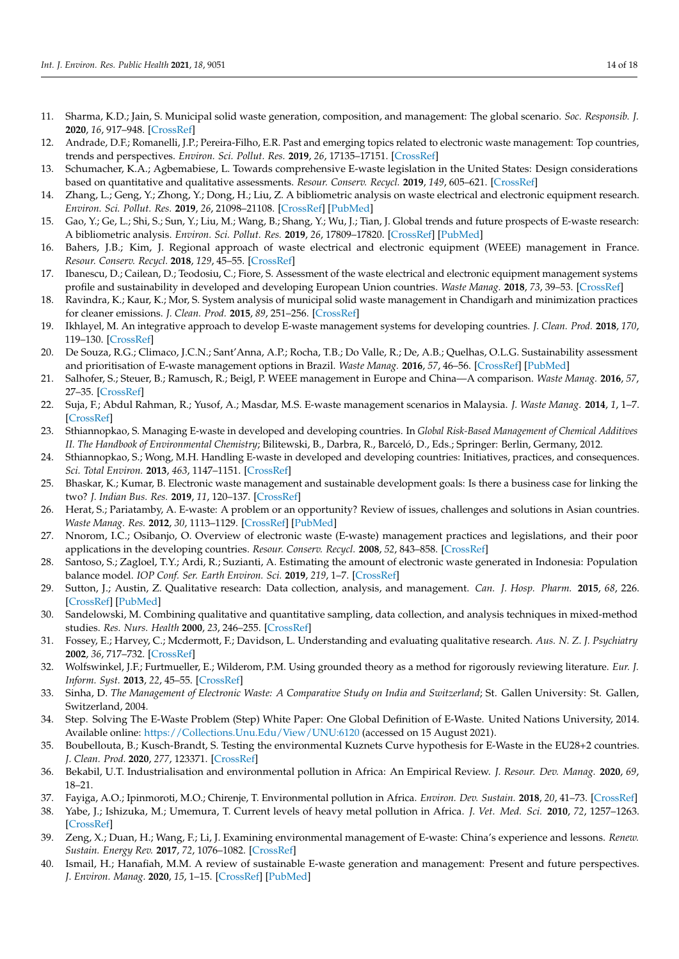- 11. Sharma, K.D.; Jain, S. Municipal solid waste generation, composition, and management: The global scenario. *Soc. Responsib. J.* **2020**, *16*, 917–948. [\[CrossRef\]](http://doi.org/10.1108/SRJ-06-2019-0210)
- 12. Andrade, D.F.; Romanelli, J.P.; Pereira-Filho, E.R. Past and emerging topics related to electronic waste management: Top countries, trends and perspectives. *Environ. Sci. Pollut. Res.* **2019**, *26*, 17135–17151. [\[CrossRef\]](http://doi.org/10.1007/s11356-019-05089-y)
- <span id="page-13-0"></span>13. Schumacher, K.A.; Agbemabiese, L. Towards comprehensive E-waste legislation in the United States: Design considerations based on quantitative and qualitative assessments. *Resour. Conserv. Recycl.* **2019**, *149*, 605–621. [\[CrossRef\]](http://doi.org/10.1016/j.resconrec.2019.06.033)
- <span id="page-13-1"></span>14. Zhang, L.; Geng, Y.; Zhong, Y.; Dong, H.; Liu, Z. A bibliometric analysis on waste electrical and electronic equipment research. *Environ. Sci. Pollut. Res.* **2019**, *26*, 21098–21108. [\[CrossRef\]](http://doi.org/10.1007/s11356-019-05409-2) [\[PubMed\]](http://www.ncbi.nlm.nih.gov/pubmed/31129902)
- <span id="page-13-22"></span>15. Gao, Y.; Ge, L.; Shi, S.; Sun, Y.; Liu, M.; Wang, B.; Shang, Y.; Wu, J.; Tian, J. Global trends and future prospects of E-waste research: A bibliometric analysis. *Environ. Sci. Pollut. Res.* **2019**, *26*, 17809–17820. [\[CrossRef\]](http://doi.org/10.1007/s11356-019-05071-8) [\[PubMed\]](http://www.ncbi.nlm.nih.gov/pubmed/31037528)
- 16. Bahers, J.B.; Kim, J. Regional approach of waste electrical and electronic equipment (WEEE) management in France. *Resour. Conserv. Recycl.* **2018**, *129*, 45–55. [\[CrossRef\]](http://doi.org/10.1016/j.resconrec.2017.10.016)
- <span id="page-13-2"></span>17. Ibanescu, D.; Cailean, D.; Teodosiu, C.; Fiore, S. Assessment of the waste electrical and electronic equipment management systems profile and sustainability in developed and developing European Union countries. *Waste Manag.* **2018**, *73*, 39–53. [\[CrossRef\]](http://doi.org/10.1016/j.wasman.2017.12.022)
- <span id="page-13-3"></span>18. Ravindra, K.; Kaur, K.; Mor, S. System analysis of municipal solid waste management in Chandigarh and minimization practices for cleaner emissions. *J. Clean. Prod.* **2015**, *89*, 251–256. [\[CrossRef\]](http://doi.org/10.1016/j.jclepro.2014.10.036)
- <span id="page-13-24"></span>19. Ikhlayel, M. An integrative approach to develop E-waste management systems for developing countries. *J. Clean. Prod.* **2018**, *170*, 119–130. [\[CrossRef\]](http://doi.org/10.1016/j.jclepro.2017.09.137)
- <span id="page-13-4"></span>20. De Souza, R.G.; Climaco, J.C.N.; Sant'Anna, A.P.; Rocha, T.B.; Do Valle, R.; De, A.B.; Quelhas, O.L.G. Sustainability assessment and prioritisation of E-waste management options in Brazil. *Waste Manag.* **2016**, *57*, 46–56. [\[CrossRef\]](http://doi.org/10.1016/j.wasman.2016.01.034) [\[PubMed\]](http://www.ncbi.nlm.nih.gov/pubmed/26852754)
- <span id="page-13-5"></span>21. Salhofer, S.; Steuer, B.; Ramusch, R.; Beigl, P. WEEE management in Europe and China—A comparison. *Waste Manag.* **2016**, *57*, 27–35. [\[CrossRef\]](http://doi.org/10.1016/j.wasman.2015.11.014)
- <span id="page-13-25"></span>22. Suja, F.; Abdul Rahman, R.; Yusof, A.; Masdar, M.S. E-waste management scenarios in Malaysia. *J. Waste Manag.* **2014**, *1*, 1–7. [\[CrossRef\]](http://doi.org/10.1155/2014/609169)
- 23. Sthiannopkao, S. Managing E-waste in developed and developing countries. In *Global Risk-Based Management of Chemical Additives II. The Handbook of Environmental Chemistry*; Bilitewski, B., Darbra, R., Barceló, D., Eds.; Springer: Berlin, Germany, 2012.
- <span id="page-13-6"></span>24. Sthiannopkao, S.; Wong, M.H. Handling E-waste in developed and developing countries: Initiatives, practices, and consequences. *Sci. Total Environ.* **2013**, *463*, 1147–1151. [\[CrossRef\]](http://doi.org/10.1016/j.scitotenv.2012.06.088)
- <span id="page-13-7"></span>25. Bhaskar, K.; Kumar, B. Electronic waste management and sustainable development goals: Is there a business case for linking the two? *J. Indian Bus. Res.* **2019**, *11*, 120–137. [\[CrossRef\]](http://doi.org/10.1108/JIBR-01-2018-0051)
- <span id="page-13-8"></span>26. Herat, S.; Pariatamby, A. E-waste: A problem or an opportunity? Review of issues, challenges and solutions in Asian countries. *Waste Manag. Res.* **2012**, *30*, 1113–1129. [\[CrossRef\]](http://doi.org/10.1177/0734242X12453378) [\[PubMed\]](http://www.ncbi.nlm.nih.gov/pubmed/22851536)
- <span id="page-13-9"></span>27. Nnorom, I.C.; Osibanjo, O. Overview of electronic waste (E-waste) management practices and legislations, and their poor applications in the developing countries. *Resour. Conserv. Recycl.* **2008**, *52*, 843–858. [\[CrossRef\]](http://doi.org/10.1016/j.resconrec.2008.01.004)
- <span id="page-13-10"></span>28. Santoso, S.; Zagloel, T.Y.; Ardi, R.; Suzianti, A. Estimating the amount of electronic waste generated in Indonesia: Population balance model. *IOP Conf. Ser. Earth Environ. Sci.* **2019**, *219*, 1–7. [\[CrossRef\]](http://doi.org/10.1088/1755-1315/219/1/012006)
- <span id="page-13-11"></span>29. Sutton, J.; Austin, Z. Qualitative research: Data collection, analysis, and management. *Can. J. Hosp. Pharm.* **2015**, *68*, 226. [\[CrossRef\]](http://doi.org/10.4212/cjhp.v68i3.1456) [\[PubMed\]](http://www.ncbi.nlm.nih.gov/pubmed/26157184)
- <span id="page-13-12"></span>30. Sandelowski, M. Combining qualitative and quantitative sampling, data collection, and analysis techniques in mixed-method studies. *Res. Nurs. Health* **2000**, *23*, 246–255. [\[CrossRef\]](http://doi.org/10.1002/1098-240X(200006)23:3<246::AID-NUR9>3.0.CO;2-H)
- <span id="page-13-13"></span>31. Fossey, E.; Harvey, C.; Mcdermott, F.; Davidson, L. Understanding and evaluating qualitative research. *Aus. N. Z. J. Psychiatry* **2002**, *36*, 717–732. [\[CrossRef\]](http://doi.org/10.1046/j.1440-1614.2002.01100.x)
- <span id="page-13-14"></span>32. Wolfswinkel, J.F.; Furtmueller, E.; Wilderom, P.M. Using grounded theory as a method for rigorously reviewing literature. *Eur. J. Inform. Syst.* **2013**, *22*, 45–55. [\[CrossRef\]](http://doi.org/10.1057/ejis.2011.51)
- <span id="page-13-15"></span>33. Sinha, D. *The Management of Electronic Waste: A Comparative Study on India and Switzerland*; St. Gallen University: St. Gallen, Switzerland, 2004.
- <span id="page-13-16"></span>34. Step. Solving The E-Waste Problem (Step) White Paper: One Global Definition of E-Waste. United Nations University, 2014. Available online: <https://Collections.Unu.Edu/View/UNU:6120> (accessed on 15 August 2021).
- <span id="page-13-17"></span>35. Boubellouta, B.; Kusch-Brandt, S. Testing the environmental Kuznets Curve hypothesis for E-Waste in the EU28+2 countries. *J. Clean. Prod.* **2020**, *277*, 123371. [\[CrossRef\]](http://doi.org/10.1016/j.jclepro.2020.123371)
- <span id="page-13-18"></span>36. Bekabil, U.T. Industrialisation and environmental pollution in Africa: An Empirical Review. *J. Resour. Dev. Manag.* **2020**, *69*, 18–21.
- <span id="page-13-20"></span>37. Fayiga, A.O.; Ipinmoroti, M.O.; Chirenje, T. Environmental pollution in Africa. *Environ. Dev. Sustain.* **2018**, *20*, 41–73. [\[CrossRef\]](http://doi.org/10.1007/s10668-016-9894-4)
- <span id="page-13-19"></span>38. Yabe, J.; Ishizuka, M.; Umemura, T. Current levels of heavy metal pollution in Africa. *J. Vet. Med. Sci.* **2010**, *72*, 1257–1263. [\[CrossRef\]](http://doi.org/10.1292/jvms.10-0058)
- <span id="page-13-21"></span>39. Zeng, X.; Duan, H.; Wang, F.; Li, J. Examining environmental management of E-waste: China's experience and lessons. *Renew. Sustain. Energy Rev.* **2017**, *72*, 1076–1082. [\[CrossRef\]](http://doi.org/10.1016/j.rser.2016.10.015)
- <span id="page-13-23"></span>40. Ismail, H.; Hanafiah, M.M. A review of sustainable E-waste generation and management: Present and future perspectives. *J. Environ. Manag.* **2020**, *15*, 1–15. [\[CrossRef\]](http://doi.org/10.1016/j.jenvman.2020.110495) [\[PubMed\]](http://www.ncbi.nlm.nih.gov/pubmed/32250915)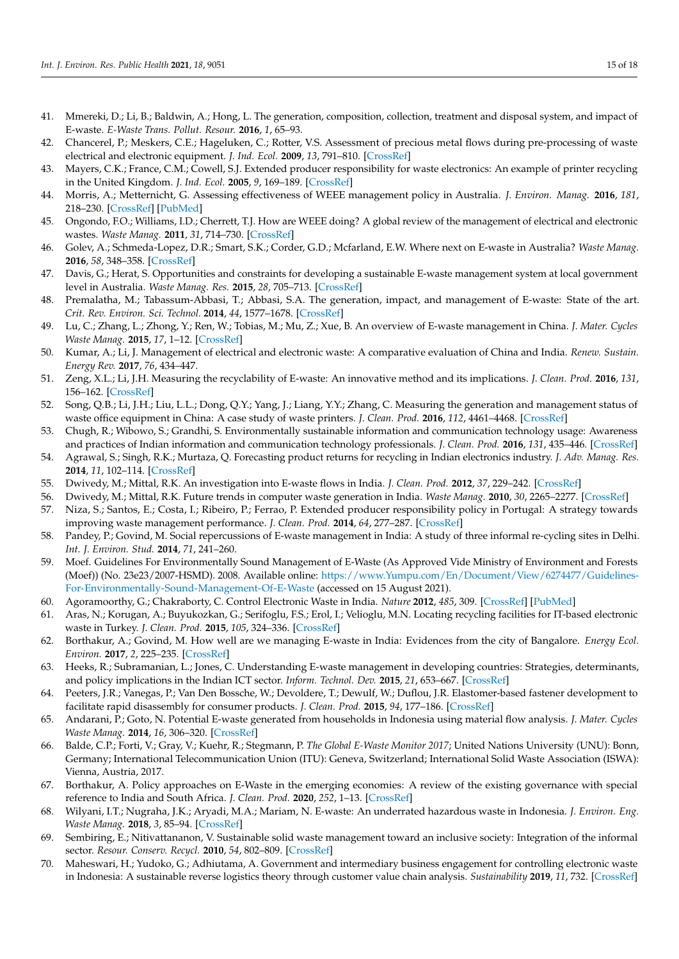- <span id="page-14-0"></span>41. Mmereki, D.; Li, B.; Baldwin, A.; Hong, L. The generation, composition, collection, treatment and disposal system, and impact of E-waste. *E-Waste Trans. Pollut. Resour.* **2016**, *1*, 65–93.
- <span id="page-14-1"></span>42. Chancerel, P.; Meskers, C.E.; Hageluken, C.; Rotter, V.S. Assessment of precious metal flows during pre-processing of waste electrical and electronic equipment. *J. Ind. Ecol.* **2009**, *13*, 791–810. [\[CrossRef\]](http://doi.org/10.1111/j.1530-9290.2009.00171.x)
- <span id="page-14-2"></span>43. Mayers, C.K.; France, C.M.; Cowell, S.J. Extended producer responsibility for waste electronics: An example of printer recycling in the United Kingdom. *J. Ind. Ecol.* **2005**, *9*, 169–189. [\[CrossRef\]](http://doi.org/10.1162/1088198054821672)
- <span id="page-14-3"></span>44. Morris, A.; Metternicht, G. Assessing effectiveness of WEEE management policy in Australia. *J. Environ. Manag.* **2016**, *181*, 218–230. [\[CrossRef\]](http://doi.org/10.1016/j.jenvman.2016.06.013) [\[PubMed\]](http://www.ncbi.nlm.nih.gov/pubmed/27353372)
- <span id="page-14-4"></span>45. Ongondo, F.O.; Williams, I.D.; Cherrett, T.J. How are WEEE doing? A global review of the management of electrical and electronic wastes. *Waste Manag.* **2011**, *31*, 714–730. [\[CrossRef\]](http://doi.org/10.1016/j.wasman.2010.10.023)
- <span id="page-14-5"></span>46. Golev, A.; Schmeda-Lopez, D.R.; Smart, S.K.; Corder, G.D.; Mcfarland, E.W. Where next on E-waste in Australia? *Waste Manag.* **2016**, *58*, 348–358. [\[CrossRef\]](http://doi.org/10.1016/j.wasman.2016.09.025)
- <span id="page-14-6"></span>47. Davis, G.; Herat, S. Opportunities and constraints for developing a sustainable E-waste management system at local government level in Australia. *Waste Manag. Res.* **2015**, *28*, 705–713. [\[CrossRef\]](http://doi.org/10.1177/0734242X09343008)
- <span id="page-14-7"></span>48. Premalatha, M.; Tabassum-Abbasi, T.; Abbasi, S.A. The generation, impact, and management of E-waste: State of the art. *Crit. Rev. Environ. Sci. Technol.* **2014**, *44*, 1577–1678. [\[CrossRef\]](http://doi.org/10.1080/10643389.2013.782171)
- <span id="page-14-8"></span>49. Lu, C.; Zhang, L.; Zhong, Y.; Ren, W.; Tobias, M.; Mu, Z.; Xue, B. An overview of E-waste management in China. *J. Mater. Cycles Waste Manag.* **2015**, *17*, 1–12. [\[CrossRef\]](http://doi.org/10.1007/s10163-014-0256-8)
- <span id="page-14-9"></span>50. Kumar, A.; Li, J. Management of electrical and electronic waste: A comparative evaluation of China and India. *Renew. Sustain. Energy Rev.* **2017**, *76*, 434–447.
- <span id="page-14-10"></span>51. Zeng, X.L.; Li, J.H. Measuring the recyclability of E-waste: An innovative method and its implications. *J. Clean. Prod.* **2016**, *131*, 156–162. [\[CrossRef\]](http://doi.org/10.1016/j.jclepro.2016.05.055)
- <span id="page-14-12"></span>52. Song, Q.B.; Li, J.H.; Liu, L.L.; Dong, Q.Y.; Yang, J.; Liang, Y.Y.; Zhang, C. Measuring the generation and management status of waste office equipment in China: A case study of waste printers. *J. Clean. Prod.* **2016**, *112*, 4461–4468. [\[CrossRef\]](http://doi.org/10.1016/j.jclepro.2015.07.106)
- <span id="page-14-11"></span>53. Chugh, R.; Wibowo, S.; Grandhi, S. Environmentally sustainable information and communication technology usage: Awareness and practices of Indian information and communication technology professionals. *J. Clean. Prod.* **2016**, *131*, 435–446. [\[CrossRef\]](http://doi.org/10.1016/j.jclepro.2016.05.004)
- <span id="page-14-13"></span>54. Agrawal, S.; Singh, R.K.; Murtaza, Q. Forecasting product returns for recycling in Indian electronics industry. *J. Adv. Manag. Res.* **2014**, *11*, 102–114. [\[CrossRef\]](http://doi.org/10.1108/JAMR-02-2013-0013)
- <span id="page-14-14"></span>55. Dwivedy, M.; Mittal, R.K. An investigation into E-waste flows in India. *J. Clean. Prod.* **2012**, *37*, 229–242. [\[CrossRef\]](http://doi.org/10.1016/j.jclepro.2012.07.017)
- <span id="page-14-15"></span>56. Dwivedy, M.; Mittal, R.K. Future trends in computer waste generation in India. *Waste Manag.* **2010**, *30*, 2265–2277. [\[CrossRef\]](http://doi.org/10.1016/j.wasman.2010.06.025)
- <span id="page-14-16"></span>57. Niza, S.; Santos, E.; Costa, I.; Ribeiro, P.; Ferrao, P. Extended producer responsibility policy in Portugal: A strategy towards improving waste management performance. *J. Clean. Prod.* **2014**, *64*, 277–287. [\[CrossRef\]](http://doi.org/10.1016/j.jclepro.2013.07.037)
- <span id="page-14-17"></span>58. Pandey, P.; Govind, M. Social repercussions of E-waste management in India: A study of three informal re-cycling sites in Delhi. *Int. J. Environ. Stud.* **2014**, *71*, 241–260.
- <span id="page-14-18"></span>59. Moef. Guidelines For Environmentally Sound Management of E-Waste (As Approved Vide Ministry of Environment and Forests (Moef)) (No. 23e23/2007-HSMD). 2008. Available online: [https://www.Yumpu.com/En/Document/View/6274477/Guidelines-](https://www.Yumpu.com/En/Document/View/6274477/Guidelines-For-Environmentally-Sound-Management-Of-E-Waste)[For-Environmentally-Sound-Management-Of-E-Waste](https://www.Yumpu.com/En/Document/View/6274477/Guidelines-For-Environmentally-Sound-Management-Of-E-Waste) (accessed on 15 August 2021).
- <span id="page-14-19"></span>60. Agoramoorthy, G.; Chakraborty, C. Control Electronic Waste in India. *Nature* **2012**, *485*, 309. [\[CrossRef\]](http://doi.org/10.1038/485309b) [\[PubMed\]](http://www.ncbi.nlm.nih.gov/pubmed/22596147)
- <span id="page-14-20"></span>61. Aras, N.; Korugan, A.; Buyukozkan, G.; Serifoglu, F.S.; Erol, I.; Velioglu, M.N. Locating recycling facilities for IT-based electronic waste in Turkey. *J. Clean. Prod.* **2015**, *105*, 324–336. [\[CrossRef\]](http://doi.org/10.1016/j.jclepro.2015.02.046)
- <span id="page-14-21"></span>62. Borthakur, A.; Govind, M. How well are we managing E-waste in India: Evidences from the city of Bangalore. *Energy Ecol. Environ.* **2017**, *2*, 225–235. [\[CrossRef\]](http://doi.org/10.1007/s40974-017-0060-0)
- 63. Heeks, R.; Subramanian, L.; Jones, C. Understanding E-waste management in developing countries: Strategies, determinants, and policy implications in the Indian ICT sector. *Inform. Technol. Dev.* **2015**, *21*, 653–667. [\[CrossRef\]](http://doi.org/10.1080/02681102.2014.886547)
- <span id="page-14-22"></span>64. Peeters, J.R.; Vanegas, P.; Van Den Bossche, W.; Devoldere, T.; Dewulf, W.; Duflou, J.R. Elastomer-based fastener development to facilitate rapid disassembly for consumer products. *J. Clean. Prod.* **2015**, *94*, 177–186. [\[CrossRef\]](http://doi.org/10.1016/j.jclepro.2015.01.081)
- <span id="page-14-23"></span>65. Andarani, P.; Goto, N. Potential E-waste generated from households in Indonesia using material flow analysis. *J. Mater. Cycles Waste Manag.* **2014**, *16*, 306–320. [\[CrossRef\]](http://doi.org/10.1007/s10163-013-0191-0)
- <span id="page-14-24"></span>66. Balde, C.P.; Forti, V.; Gray, V.; Kuehr, R.; Stegmann, P. *The Global E-Waste Monitor 2017*; United Nations University (UNU): Bonn, Germany; International Telecommunication Union (ITU): Geneva, Switzerland; International Solid Waste Association (ISWA): Vienna, Austria, 2017.
- <span id="page-14-25"></span>67. Borthakur, A. Policy approaches on E-Waste in the emerging economies: A review of the existing governance with special reference to India and South Africa. *J. Clean. Prod.* **2020**, *252*, 1–13. [\[CrossRef\]](http://doi.org/10.1016/j.jclepro.2019.119885)
- <span id="page-14-26"></span>68. Wilyani, I.T.; Nugraha, J.K.; Aryadi, M.A.; Mariam, N. E-waste: An underrated hazardous waste in Indonesia. *J. Environ. Eng. Waste Manag.* **2018**, *3*, 85–94. [\[CrossRef\]](http://doi.org/10.33021/jenv.v3i2.483)
- <span id="page-14-27"></span>69. Sembiring, E.; Nitivattananon, V. Sustainable solid waste management toward an inclusive society: Integration of the informal sector. *Resour. Conserv. Recycl.* **2010**, *54*, 802–809. [\[CrossRef\]](http://doi.org/10.1016/j.resconrec.2009.12.010)
- <span id="page-14-28"></span>70. Maheswari, H.; Yudoko, G.; Adhiutama, A. Government and intermediary business engagement for controlling electronic waste in Indonesia: A sustainable reverse logistics theory through customer value chain analysis. *Sustainability* **2019**, *11*, 732. [\[CrossRef\]](http://doi.org/10.3390/su11030732)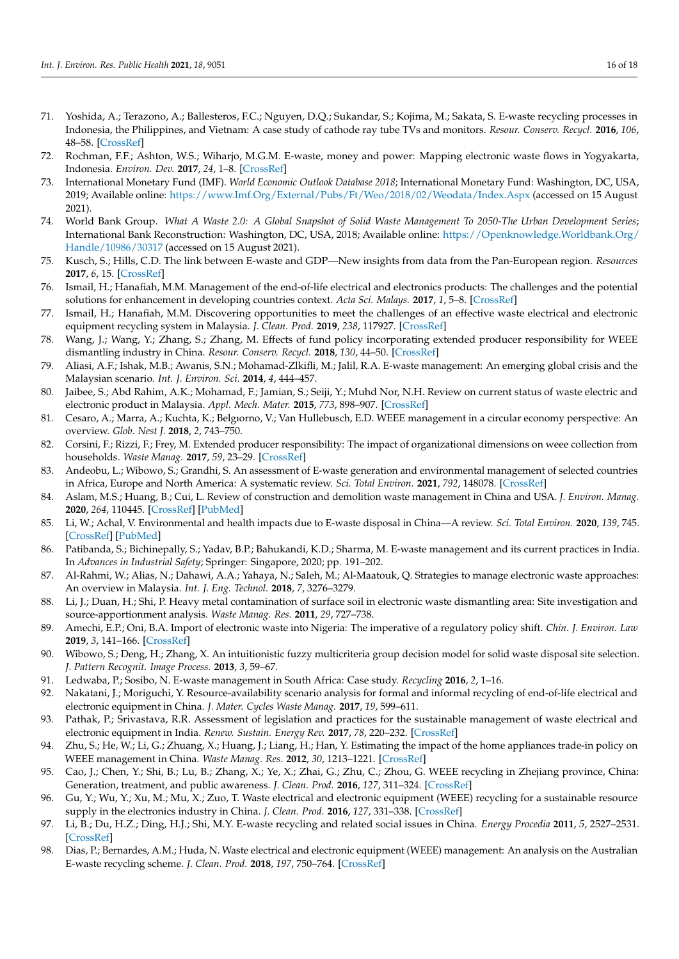- <span id="page-15-0"></span>71. Yoshida, A.; Terazono, A.; Ballesteros, F.C.; Nguyen, D.Q.; Sukandar, S.; Kojima, M.; Sakata, S. E-waste recycling processes in Indonesia, the Philippines, and Vietnam: A case study of cathode ray tube TVs and monitors. *Resour. Conserv. Recycl.* **2016**, *106*, 48–58. [\[CrossRef\]](http://doi.org/10.1016/j.resconrec.2015.10.020)
- <span id="page-15-1"></span>72. Rochman, F.F.; Ashton, W.S.; Wiharjo, M.G.M. E-waste, money and power: Mapping electronic waste flows in Yogyakarta, Indonesia. *Environ. Dev.* **2017**, *24*, 1–8. [\[CrossRef\]](http://doi.org/10.1016/j.envdev.2017.02.002)
- <span id="page-15-2"></span>73. International Monetary Fund (IMF). *World Economic Outlook Database 2018*; International Monetary Fund: Washington, DC, USA, 2019; Available online: <https://www.Imf.Org/External/Pubs/Ft/Weo/2018/02/Weodata/Index.Aspx> (accessed on 15 August 2021).
- <span id="page-15-3"></span>74. World Bank Group. *What A Waste 2.0: A Global Snapshot of Solid Waste Management To 2050-The Urban Development Series*; International Bank Reconstruction: Washington, DC, USA, 2018; Available online: [https://Openknowledge.Worldbank.Org/](https://Openknowledge.Worldbank.Org/Handle/10986/30317) [Handle/10986/30317](https://Openknowledge.Worldbank.Org/Handle/10986/30317) (accessed on 15 August 2021).
- <span id="page-15-4"></span>75. Kusch, S.; Hills, C.D. The link between E-waste and GDP—New insights from data from the Pan-European region. *Resources* **2017**, *6*, 15. [\[CrossRef\]](http://doi.org/10.3390/resources6020015)
- <span id="page-15-5"></span>76. Ismail, H.; Hanafiah, M.M. Management of the end-of-life electrical and electronics products: The challenges and the potential solutions for enhancement in developing countries context. *Acta Sci. Malays.* **2017**, *1*, 5–8. [\[CrossRef\]](http://doi.org/10.26480/asm.02.2017.05.08)
- <span id="page-15-6"></span>77. Ismail, H.; Hanafiah, M.M. Discovering opportunities to meet the challenges of an effective waste electrical and electronic equipment recycling system in Malaysia. *J. Clean. Prod.* **2019**, *238*, 117927. [\[CrossRef\]](http://doi.org/10.1016/j.jclepro.2019.117927)
- <span id="page-15-7"></span>78. Wang, J.; Wang, Y.; Zhang, S.; Zhang, M. Effects of fund policy incorporating extended producer responsibility for WEEE dismantling industry in China. *Resour. Conserv. Recycl.* **2018**, *130*, 44–50. [\[CrossRef\]](http://doi.org/10.1016/j.resconrec.2017.11.016)
- <span id="page-15-8"></span>79. Aliasi, A.F.; Ishak, M.B.; Awanis, S.N.; Mohamad-Zlkifli, M.; Jalil, R.A. E-waste management: An emerging global crisis and the Malaysian scenario. *Int. J. Environ. Sci.* **2014**, *4*, 444–457.
- <span id="page-15-9"></span>80. Jaibee, S.; Abd Rahim, A.K.; Mohamad, F.; Jamian, S.; Seiji, Y.; Muhd Nor, N.H. Review on current status of waste electric and electronic product in Malaysia. *Appl. Mech. Mater.* **2015**, *773*, 898–907. [\[CrossRef\]](http://doi.org/10.4028/www.scientific.net/AMM.773-774.898)
- <span id="page-15-10"></span>81. Cesaro, A.; Marra, A.; Kuchta, K.; Belgıorno, V.; Van Hullebusch, E.D. WEEE management in a circular economy perspective: An overview. *Glob. Nest J.* **2018**, *2*, 743–750.
- <span id="page-15-11"></span>82. Corsini, F.; Rizzi, F.; Frey, M. Extended producer responsibility: The impact of organizational dimensions on weee collection from households. *Waste Manag.* **2017**, *59*, 23–29. [\[CrossRef\]](http://doi.org/10.1016/j.wasman.2016.10.046)
- <span id="page-15-12"></span>83. Andeobu, L.; Wibowo, S.; Grandhi, S. An assessment of E-waste generation and environmental management of selected countries in Africa, Europe and North America: A systematic review. *Sci. Total Environ.* **2021**, *792*, 148078. [\[CrossRef\]](http://doi.org/10.1016/j.scitotenv.2021.148078)
- 84. Aslam, M.S.; Huang, B.; Cui, L. Review of construction and demolition waste management in China and USA. *J. Environ. Manag.* **2020**, *264*, 110445. [\[CrossRef\]](http://doi.org/10.1016/j.jenvman.2020.110445) [\[PubMed\]](http://www.ncbi.nlm.nih.gov/pubmed/32217323)
- <span id="page-15-16"></span>85. Li, W.; Achal, V. Environmental and health impacts due to E-waste disposal in China—A review. *Sci. Total Environ.* **2020**, *139*, 745. [\[CrossRef\]](http://doi.org/10.1016/j.scitotenv.2020.139745) [\[PubMed\]](http://www.ncbi.nlm.nih.gov/pubmed/32516663)
- <span id="page-15-13"></span>86. Patibanda, S.; Bichinepally, S.; Yadav, B.P.; Bahukandi, K.D.; Sharma, M. E-waste management and its current practices in India. In *Advances in Industrial Safety*; Springer: Singapore, 2020; pp. 191–202.
- <span id="page-15-14"></span>87. Al-Rahmi, W.; Alias, N.; Dahawi, A.A.; Yahaya, N.; Saleh, M.; Al-Maatouk, Q. Strategies to manage electronic waste approaches: An overview in Malaysia. *Int. J. Eng. Technol.* **2018**, *7*, 3276–3279.
- <span id="page-15-15"></span>88. Li, J.; Duan, H.; Shi, P. Heavy metal contamination of surface soil in electronic waste dismantling area: Site investigation and source-apportionment analysis. *Waste Manag. Res.* **2011**, *29*, 727–738.
- <span id="page-15-17"></span>89. Amechi, E.P.; Oni, B.A. Import of electronic waste into Nigeria: The imperative of a regulatory policy shift. *Chin. J. Environ. Law* **2019**, *3*, 141–166. [\[CrossRef\]](http://doi.org/10.1163/24686042-12340040)
- <span id="page-15-20"></span>90. Wibowo, S.; Deng, H.; Zhang, X. An intuitionistic fuzzy multicriteria group decision model for solid waste disposal site selection. *J. Pattern Recognit. Image Process.* **2013**, *3*, 59–67.
- <span id="page-15-18"></span>91. Ledwaba, P.; Sosibo, N. E-waste management in South Africa: Case study. *Recycling* **2016**, *2*, 1–16.
- <span id="page-15-19"></span>92. Nakatani, J.; Moriguchi, Y. Resource-availability scenario analysis for formal and informal recycling of end-of-life electrical and electronic equipment in China. *J. Mater. Cycles Waste Manag.* **2017**, *19*, 599–611.
- <span id="page-15-23"></span>93. Pathak, P.; Srivastava, R.R. Assessment of legislation and practices for the sustainable management of waste electrical and electronic equipment in India. *Renew. Sustain. Energy Rev.* **2017**, *78*, 220–232. [\[CrossRef\]](http://doi.org/10.1016/j.rser.2017.04.062)
- <span id="page-15-26"></span>94. Zhu, S.; He, W.; Li, G.; Zhuang, X.; Huang, J.; Liang, H.; Han, Y. Estimating the impact of the home appliances trade-in policy on WEEE management in China. *Waste Manag. Res.* **2012**, *30*, 1213–1221. [\[CrossRef\]](http://doi.org/10.1177/0734242X12437568)
- <span id="page-15-24"></span>95. Cao, J.; Chen, Y.; Shi, B.; Lu, B.; Zhang, X.; Ye, X.; Zhai, G.; Zhu, C.; Zhou, G. WEEE recycling in Zhejiang province, China: Generation, treatment, and public awareness. *J. Clean. Prod.* **2016**, *127*, 311–324. [\[CrossRef\]](http://doi.org/10.1016/j.jclepro.2016.03.147)
- <span id="page-15-25"></span>96. Gu, Y.; Wu, Y.; Xu, M.; Mu, X.; Zuo, T. Waste electrical and electronic equipment (WEEE) recycling for a sustainable resource supply in the electronics industry in China. *J. Clean. Prod.* **2016**, *127*, 331–338. [\[CrossRef\]](http://doi.org/10.1016/j.jclepro.2016.04.041)
- <span id="page-15-22"></span>97. Li, B.; Du, H.Z.; Ding, H.J.; Shi, M.Y. E-waste recycling and related social issues in China. *Energy Procedia* **2011**, *5*, 2527–2531. [\[CrossRef\]](http://doi.org/10.1016/j.egypro.2011.03.434)
- <span id="page-15-21"></span>98. Dias, P.; Bernardes, A.M.; Huda, N. Waste electrical and electronic equipment (WEEE) management: An analysis on the Australian E-waste recycling scheme. *J. Clean. Prod.* **2018**, *197*, 750–764. [\[CrossRef\]](http://doi.org/10.1016/j.jclepro.2018.06.161)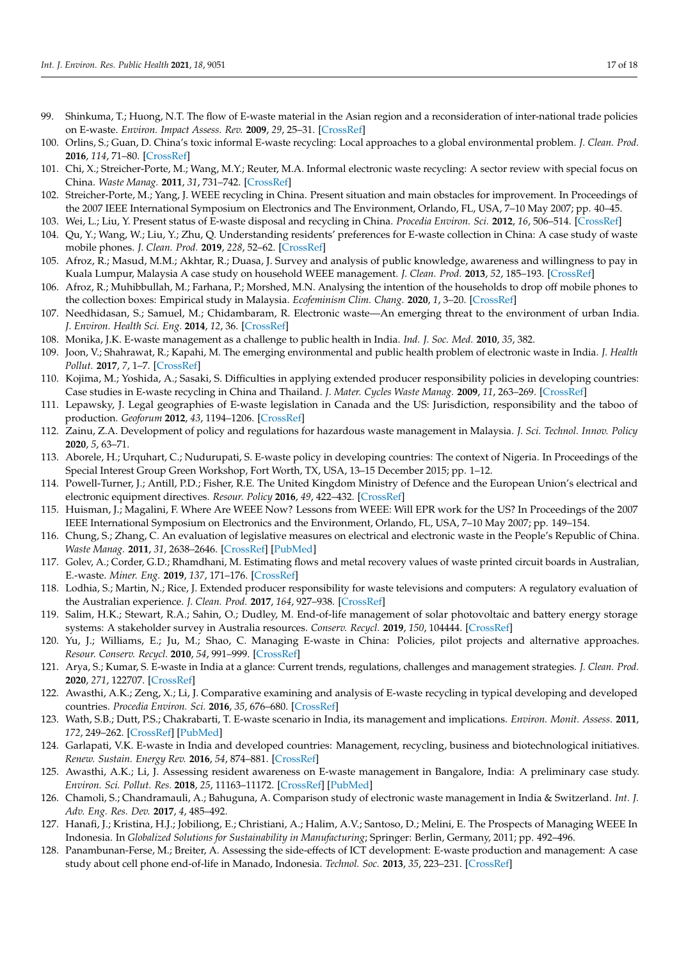- 99. Shinkuma, T.; Huong, N.T. The flow of E-waste material in the Asian region and a reconsideration of inter-national trade policies on E-waste. *Environ. Impact Assess. Rev.* **2009**, *29*, 25–31. [\[CrossRef\]](http://doi.org/10.1016/j.eiar.2008.04.004)
- 100. Orlins, S.; Guan, D. China's toxic informal E-waste recycling: Local approaches to a global environmental problem. *J. Clean. Prod.* **2016**, *114*, 71–80. [\[CrossRef\]](http://doi.org/10.1016/j.jclepro.2015.05.090)
- 101. Chi, X.; Streicher-Porte, M.; Wang, M.Y.; Reuter, M.A. Informal electronic waste recycling: A sector review with special focus on China. *Waste Manag.* **2011**, *31*, 731–742. [\[CrossRef\]](http://doi.org/10.1016/j.wasman.2010.11.006)
- <span id="page-16-0"></span>102. Streicher-Porte, M.; Yang, J. WEEE recycling in China. Present situation and main obstacles for improvement. In Proceedings of the 2007 IEEE International Symposium on Electronics and The Environment, Orlando, FL, USA, 7–10 May 2007; pp. 40–45.
- <span id="page-16-1"></span>103. Wei, L.; Liu, Y. Present status of E-waste disposal and recycling in China. *Procedia Environ. Sci.* **2012**, *16*, 506–514. [\[CrossRef\]](http://doi.org/10.1016/j.proenv.2012.10.070)
- 104. Qu, Y.; Wang, W.; Liu, Y.; Zhu, Q. Understanding residents' preferences for E-waste collection in China: A case study of waste mobile phones. *J. Clean. Prod.* **2019**, *228*, 52–62. [\[CrossRef\]](http://doi.org/10.1016/j.jclepro.2019.04.216)
- 105. Afroz, R.; Masud, M.M.; Akhtar, R.; Duasa, J. Survey and analysis of public knowledge, awareness and willingness to pay in Kuala Lumpur, Malaysia A case study on household WEEE management. *J. Clean. Prod.* **2013**, *52*, 185–193. [\[CrossRef\]](http://doi.org/10.1016/j.jclepro.2013.02.004)
- <span id="page-16-2"></span>106. Afroz, R.; Muhibbullah, M.; Farhana, P.; Morshed, M.N. Analysing the intention of the households to drop off mobile phones to the collection boxes: Empirical study in Malaysia. *Ecofeminism Clim. Chang.* **2020**, *1*, 3–20. [\[CrossRef\]](http://doi.org/10.1108/EFCC-03-2020-0004)
- <span id="page-16-3"></span>107. Needhidasan, S.; Samuel, M.; Chidambaram, R. Electronic waste—An emerging threat to the environment of urban India. *J. Environ. Health Sci. Eng.* **2014**, *12*, 36. [\[CrossRef\]](http://doi.org/10.1186/2052-336X-12-36)
- 108. Monika, J.K. E-waste management as a challenge to public health in India. *Ind. J. Soc. Med.* **2010**, *35*, 382.
- <span id="page-16-4"></span>109. Joon, V.; Shahrawat, R.; Kapahi, M. The emerging environmental and public health problem of electronic waste in India. *J. Health Pollut.* **2017**, *7*, 1–7. [\[CrossRef\]](http://doi.org/10.5696/2156-9614-7.15.1)
- <span id="page-16-5"></span>110. Kojima, M.; Yoshida, A.; Sasaki, S. Difficulties in applying extended producer responsibility policies in developing countries: Case studies in E-waste recycling in China and Thailand. *J. Mater. Cycles Waste Manag.* **2009**, *11*, 263–269. [\[CrossRef\]](http://doi.org/10.1007/s10163-009-0240-x)
- 111. Lepawsky, J. Legal geographies of E-waste legislation in Canada and the US: Jurisdiction, responsibility and the taboo of production. *Geoforum* **2012**, *43*, 1194–1206. [\[CrossRef\]](http://doi.org/10.1016/j.geoforum.2012.03.006)
- 112. Zainu, Z.A. Development of policy and regulations for hazardous waste management in Malaysia. *J. Sci. Technol. Innov. Policy* **2020**, *5*, 63–71.
- <span id="page-16-7"></span>113. Aborele, H.; Urquhart, C.; Nudurupati, S. E-waste policy in developing countries: The context of Nigeria. In Proceedings of the Special Interest Group Green Workshop, Fort Worth, TX, USA, 13–15 December 2015; pp. 1–12.
- 114. Powell-Turner, J.; Antill, P.D.; Fisher, R.E. The United Kingdom Ministry of Defence and the European Union's electrical and electronic equipment directives. *Resour. Policy* **2016**, *49*, 422–432. [\[CrossRef\]](http://doi.org/10.1016/j.resourpol.2016.07.012)
- 115. Huisman, J.; Magalini, F. Where Are WEEE Now? Lessons from WEEE: Will EPR work for the US? In Proceedings of the 2007 IEEE International Symposium on Electronics and the Environment, Orlando, FL, USA, 7–10 May 2007; pp. 149–154.
- 116. Chung, S.; Zhang, C. An evaluation of legislative measures on electrical and electronic waste in the People's Republic of China. *Waste Manag.* **2011**, *31*, 2638–2646. [\[CrossRef\]](http://doi.org/10.1016/j.wasman.2011.07.010) [\[PubMed\]](http://www.ncbi.nlm.nih.gov/pubmed/21839627)
- 117. Golev, A.; Corder, G.D.; Rhamdhani, M. Estimating flows and metal recovery values of waste printed circuit boards in Australian, E.-waste. *Miner. Eng.* **2019**, *137*, 171–176. [\[CrossRef\]](http://doi.org/10.1016/j.mineng.2019.04.017)
- 118. Lodhia, S.; Martin, N.; Rice, J. Extended producer responsibility for waste televisions and computers: A regulatory evaluation of the Australian experience. *J. Clean. Prod.* **2017**, *164*, 927–938. [\[CrossRef\]](http://doi.org/10.1016/j.jclepro.2017.07.020)
- 119. Salim, H.K.; Stewart, R.A.; Sahin, O.; Dudley, M. End-of-life management of solar photovoltaic and battery energy storage systems: A stakeholder survey in Australia resources. *Conserv. Recycl.* **2019**, *150*, 104444. [\[CrossRef\]](http://doi.org/10.1016/j.resconrec.2019.104444)
- 120. Yu, J.; Williams, E.; Ju, M.; Shao, C. Managing E-waste in China: Policies, pilot projects and alternative approaches. *Resour. Conserv. Recycl.* **2010**, *54*, 991–999. [\[CrossRef\]](http://doi.org/10.1016/j.resconrec.2010.02.006)
- 121. Arya, S.; Kumar, S. E-waste in India at a glance: Current trends, regulations, challenges and management strategies. *J. Clean. Prod.* **2020**, *271*, 122707. [\[CrossRef\]](http://doi.org/10.1016/j.jclepro.2020.122707)
- 122. Awasthi, A.K.; Zeng, X.; Li, J. Comparative examining and analysis of E-waste recycling in typical developing and developed countries. *Procedia Environ. Sci.* **2016**, *35*, 676–680. [\[CrossRef\]](http://doi.org/10.1016/j.proenv.2016.07.065)
- 123. Wath, S.B.; Dutt, P.S.; Chakrabarti, T. E-waste scenario in India, its management and implications. *Environ. Monit. Assess.* **2011**, *172*, 249–262. [\[CrossRef\]](http://doi.org/10.1007/s10661-010-1331-9) [\[PubMed\]](http://www.ncbi.nlm.nih.gov/pubmed/20151189)
- 124. Garlapati, V.K. E-waste in India and developed countries: Management, recycling, business and biotechnological initiatives. *Renew. Sustain. Energy Rev.* **2016**, *54*, 874–881. [\[CrossRef\]](http://doi.org/10.1016/j.rser.2015.10.106)
- 125. Awasthi, A.K.; Li, J. Assessing resident awareness on E-waste management in Bangalore, India: A preliminary case study. *Environ. Sci. Pollut. Res.* **2018**, *25*, 11163–11172. [\[CrossRef\]](http://doi.org/10.1007/s11356-017-1037-4) [\[PubMed\]](http://www.ncbi.nlm.nih.gov/pubmed/29502260)
- <span id="page-16-6"></span>126. Chamoli, S.; Chandramauli, A.; Bahuguna, A. Comparison study of electronic waste management in India & Switzerland. *Int. J. Adv. Eng. Res. Dev.* **2017**, *4*, 485–492.
- <span id="page-16-8"></span>127. Hanafi, J.; Kristina, H.J.; Jobiliong, E.; Christiani, A.; Halim, A.V.; Santoso, D.; Melini, E. The Prospects of Managing WEEE In Indonesia. In *Globalized Solutions for Sustainability in Manufacturing*; Springer: Berlin, Germany, 2011; pp. 492–496.
- 128. Panambunan-Ferse, M.; Breiter, A. Assessing the side-effects of ICT development: E-waste production and management: A case study about cell phone end-of-life in Manado, Indonesia. *Technol. Soc.* **2013**, *35*, 223–231. [\[CrossRef\]](http://doi.org/10.1016/j.techsoc.2013.04.002)